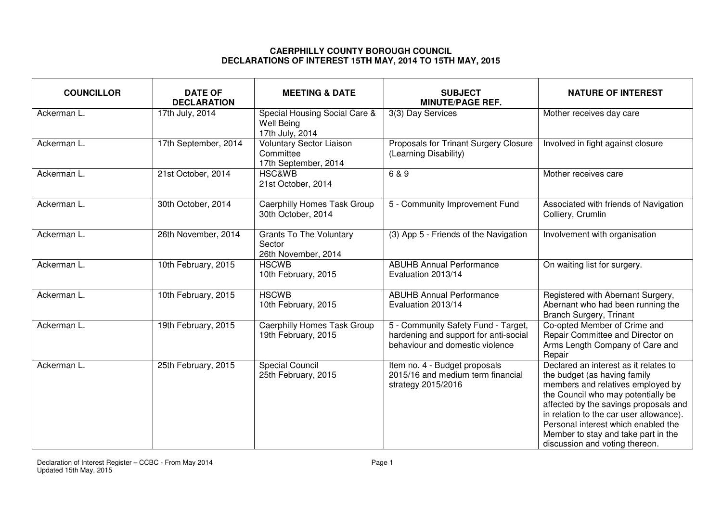## **CAERPHILLY COUNTY BOROUGH COUNCIL DECLARATIONS OF INTEREST 15TH MAY, 2014 TO 15TH MAY, 2015**

| <b>COUNCILLOR</b> | <b>DATE OF</b><br><b>DECLARATION</b> | <b>MEETING &amp; DATE</b>                                             | <b>SUBJECT</b><br><b>MINUTE/PAGE REF.</b>                                                                       | <b>NATURE OF INTEREST</b>                                                                                                                                                                                                                                                                                                                            |
|-------------------|--------------------------------------|-----------------------------------------------------------------------|-----------------------------------------------------------------------------------------------------------------|------------------------------------------------------------------------------------------------------------------------------------------------------------------------------------------------------------------------------------------------------------------------------------------------------------------------------------------------------|
| Ackerman L.       | 17th July, 2014                      | Special Housing Social Care &<br><b>Well Being</b><br>17th July, 2014 | 3(3) Day Services                                                                                               | Mother receives day care                                                                                                                                                                                                                                                                                                                             |
| Ackerman L.       | 17th September, 2014                 | <b>Voluntary Sector Liaison</b><br>Committee<br>17th September, 2014  | Proposals for Trinant Surgery Closure<br>(Learning Disability)                                                  | Involved in fight against closure                                                                                                                                                                                                                                                                                                                    |
| Ackerman L.       | 21st October, 2014                   | <b>HSC&amp;WB</b><br>21st October, 2014                               | 6 & 9                                                                                                           | Mother receives care                                                                                                                                                                                                                                                                                                                                 |
| Ackerman L.       | 30th October, 2014                   | Caerphilly Homes Task Group<br>30th October, 2014                     | 5 - Community Improvement Fund                                                                                  | Associated with friends of Navigation<br>Colliery, Crumlin                                                                                                                                                                                                                                                                                           |
| Ackerman L.       | 26th November, 2014                  | <b>Grants To The Voluntary</b><br>Sector<br>26th November, 2014       | (3) App 5 - Friends of the Navigation                                                                           | Involvement with organisation                                                                                                                                                                                                                                                                                                                        |
| Ackerman L.       | 10th February, 2015                  | <b>HSCWB</b><br>10th February, 2015                                   | <b>ABUHB Annual Performance</b><br>Evaluation 2013/14                                                           | On waiting list for surgery.                                                                                                                                                                                                                                                                                                                         |
| Ackerman L.       | 10th February, 2015                  | <b>HSCWB</b><br>10th February, 2015                                   | <b>ABUHB Annual Performance</b><br>Evaluation 2013/14                                                           | Registered with Abernant Surgery,<br>Abernant who had been running the<br><b>Branch Surgery, Trinant</b>                                                                                                                                                                                                                                             |
| Ackerman L.       | 19th February, 2015                  | <b>Caerphilly Homes Task Group</b><br>19th February, 2015             | 5 - Community Safety Fund - Target,<br>hardening and support for anti-social<br>behaviour and domestic violence | Co-opted Member of Crime and<br>Repair Committee and Director on<br>Arms Length Company of Care and<br>Repair                                                                                                                                                                                                                                        |
| Ackerman L.       | 25th February, 2015                  | <b>Special Council</b><br>25th February, 2015                         | Item no. 4 - Budget proposals<br>2015/16 and medium term financial<br>strategy 2015/2016                        | Declared an interest as it relates to<br>the budget (as having family<br>members and relatives employed by<br>the Council who may potentially be<br>affected by the savings proposals and<br>in relation to the car user allowance).<br>Personal interest which enabled the<br>Member to stay and take part in the<br>discussion and voting thereon. |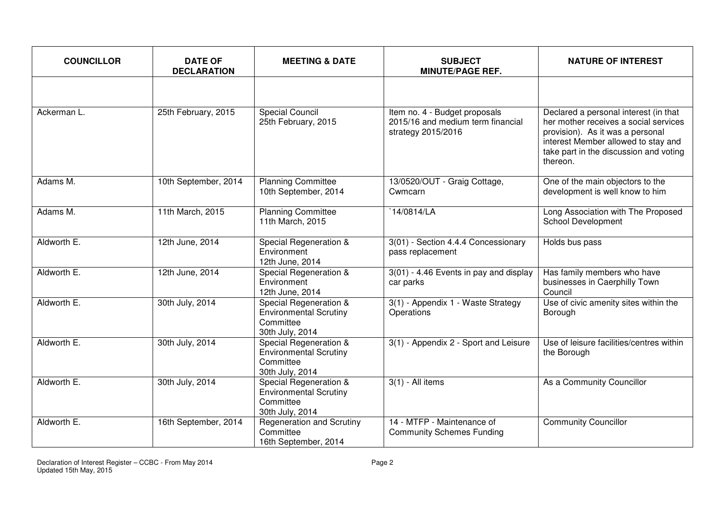| <b>COUNCILLOR</b> | <b>DATE OF</b><br><b>DECLARATION</b> | <b>MEETING &amp; DATE</b>                                                               | <b>SUBJECT</b><br><b>MINUTE/PAGE REF.</b>                                                | <b>NATURE OF INTEREST</b>                                                                                                                                                                                       |
|-------------------|--------------------------------------|-----------------------------------------------------------------------------------------|------------------------------------------------------------------------------------------|-----------------------------------------------------------------------------------------------------------------------------------------------------------------------------------------------------------------|
|                   |                                      |                                                                                         |                                                                                          |                                                                                                                                                                                                                 |
| Ackerman L.       | 25th February, 2015                  | <b>Special Council</b><br>25th February, 2015                                           | Item no. 4 - Budget proposals<br>2015/16 and medium term financial<br>strategy 2015/2016 | Declared a personal interest (in that<br>her mother receives a social services<br>provision). As it was a personal<br>interest Member allowed to stay and<br>take part in the discussion and voting<br>thereon. |
| Adams M.          | 10th September, 2014                 | <b>Planning Committee</b><br>10th September, 2014                                       | 13/0520/OUT - Graig Cottage,<br>Cwmcarn                                                  | One of the main objectors to the<br>development is well know to him                                                                                                                                             |
| Adams M.          | 11th March, 2015                     | <b>Planning Committee</b><br>11th March, 2015                                           | 14/0814/LA                                                                               | Long Association with The Proposed<br>School Development                                                                                                                                                        |
| Aldworth E.       | 12th June, 2014                      | Special Regeneration &<br>Environment<br>12th June, 2014                                | 3(01) - Section 4.4.4 Concessionary<br>pass replacement                                  | Holds bus pass                                                                                                                                                                                                  |
| Aldworth E.       | 12th June, 2014                      | Special Regeneration &<br>Environment<br>12th June, 2014                                | 3(01) - 4.46 Events in pay and display<br>car parks                                      | Has family members who have<br>businesses in Caerphilly Town<br>Council                                                                                                                                         |
| Aldworth E.       | 30th July, 2014                      | Special Regeneration &<br><b>Environmental Scrutiny</b><br>Committee<br>30th July, 2014 | 3(1) - Appendix 1 - Waste Strategy<br>Operations                                         | Use of civic amenity sites within the<br>Borough                                                                                                                                                                |
| Aldworth E.       | 30th July, 2014                      | Special Regeneration &<br><b>Environmental Scrutiny</b><br>Committee<br>30th July, 2014 | 3(1) - Appendix 2 - Sport and Leisure                                                    | Use of leisure facilities/centres within<br>the Borough                                                                                                                                                         |
| Aldworth E.       | 30th July, 2014                      | Special Regeneration &<br><b>Environmental Scrutiny</b><br>Committee<br>30th July, 2014 | $3(1)$ - All items                                                                       | As a Community Councillor                                                                                                                                                                                       |
| Aldworth E.       | 16th September, 2014                 | <b>Regeneration and Scrutiny</b><br>Committee<br>16th September, 2014                   | 14 - MTFP - Maintenance of<br><b>Community Schemes Funding</b>                           | <b>Community Councillor</b>                                                                                                                                                                                     |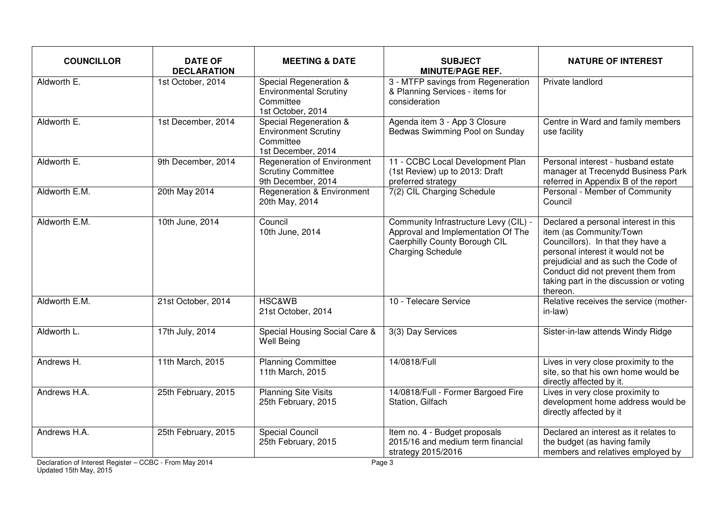| <b>COUNCILLOR</b> | <b>DATE OF</b><br><b>DECLARATION</b> | <b>MEETING &amp; DATE</b>                                                                 | <b>SUBJECT</b><br><b>MINUTE/PAGE REF.</b>                                                                                                | <b>NATURE OF INTEREST</b>                                                                                                                                                                                                                                                    |
|-------------------|--------------------------------------|-------------------------------------------------------------------------------------------|------------------------------------------------------------------------------------------------------------------------------------------|------------------------------------------------------------------------------------------------------------------------------------------------------------------------------------------------------------------------------------------------------------------------------|
| Aldworth E.       | 1st October, 2014                    | Special Regeneration &<br><b>Environmental Scrutiny</b><br>Committee<br>1st October, 2014 | 3 - MTFP savings from Regeneration<br>& Planning Services - items for<br>consideration                                                   | Private landlord                                                                                                                                                                                                                                                             |
| Aldworth E.       | 1st December, 2014                   | Special Regeneration &<br><b>Environment Scrutiny</b><br>Committee<br>1st December, 2014  | Agenda item 3 - App 3 Closure<br>Bedwas Swimming Pool on Sunday                                                                          | Centre in Ward and family members<br>use facility                                                                                                                                                                                                                            |
| Aldworth E.       | 9th December, 2014                   | <b>Regeneration of Environment</b><br><b>Scrutiny Committee</b><br>9th December, 2014     | 11 - CCBC Local Development Plan<br>(1st Review) up to 2013: Draft<br>preferred strategy                                                 | Personal interest - husband estate<br>manager at Trecenydd Business Park<br>referred in Appendix B of the report                                                                                                                                                             |
| Aldworth E.M.     | 20th May 2014                        | <b>Regeneration &amp; Environment</b><br>20th May, 2014                                   | 7(2) CIL Charging Schedule                                                                                                               | Personal - Member of Community<br>Council                                                                                                                                                                                                                                    |
| Aldworth E.M.     | 10th June, 2014                      | Council<br>10th June, 2014                                                                | Community Infrastructure Levy (CIL) -<br>Approval and Implementation Of The<br>Caerphilly County Borough CIL<br><b>Charging Schedule</b> | Declared a personal interest in this<br>item (as Community/Town<br>Councillors). In that they have a<br>personal interest it would not be<br>prejudicial and as such the Code of<br>Conduct did not prevent them from<br>taking part in the discussion or voting<br>thereon. |
| Aldworth E.M.     | 21st October, 2014                   | <b>HSC&amp;WB</b><br>21st October, 2014                                                   | 10 - Telecare Service                                                                                                                    | Relative receives the service (mother-<br>in-law)                                                                                                                                                                                                                            |
| Aldworth L.       | 17th July, 2014                      | Special Housing Social Care &<br><b>Well Being</b>                                        | 3(3) Day Services                                                                                                                        | Sister-in-law attends Windy Ridge                                                                                                                                                                                                                                            |
| Andrews H.        | 11th March, 2015                     | <b>Planning Committee</b><br>11th March, 2015                                             | 14/0818/Full                                                                                                                             | Lives in very close proximity to the<br>site, so that his own home would be<br>directly affected by it.                                                                                                                                                                      |
| Andrews H.A.      | 25th February, 2015                  | <b>Planning Site Visits</b><br>25th February, 2015                                        | 14/0818/Full - Former Bargoed Fire<br>Station, Gilfach                                                                                   | Lives in very close proximity to<br>development home address would be<br>directly affected by it                                                                                                                                                                             |
| Andrews H.A.      | 25th February, 2015                  | <b>Special Council</b><br>25th February, 2015                                             | Item no. 4 - Budget proposals<br>2015/16 and medium term financial<br>strategy 2015/2016                                                 | Declared an interest as it relates to<br>the budget (as having family<br>members and relatives employed by                                                                                                                                                                   |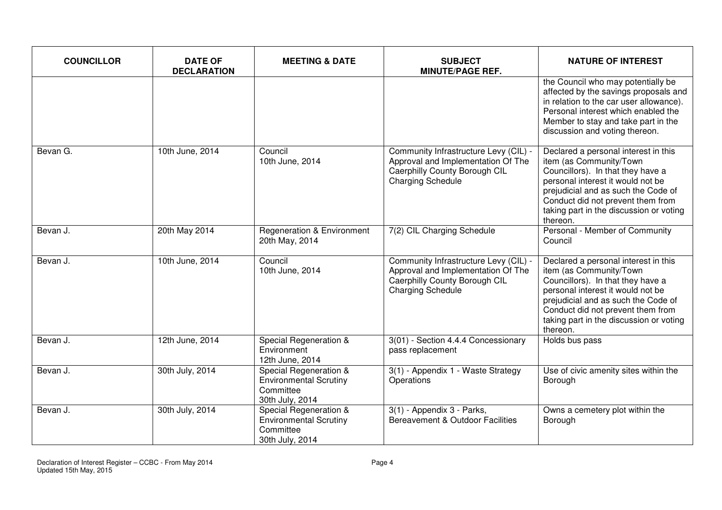| <b>COUNCILLOR</b> | <b>DATE OF</b><br><b>DECLARATION</b> | <b>MEETING &amp; DATE</b>                                                               | <b>SUBJECT</b><br><b>MINUTE/PAGE REF.</b>                                                                                                | <b>NATURE OF INTEREST</b>                                                                                                                                                                                                                                                    |
|-------------------|--------------------------------------|-----------------------------------------------------------------------------------------|------------------------------------------------------------------------------------------------------------------------------------------|------------------------------------------------------------------------------------------------------------------------------------------------------------------------------------------------------------------------------------------------------------------------------|
|                   |                                      |                                                                                         |                                                                                                                                          | the Council who may potentially be<br>affected by the savings proposals and<br>in relation to the car user allowance).<br>Personal interest which enabled the<br>Member to stay and take part in the<br>discussion and voting thereon.                                       |
| Bevan G.          | 10th June, 2014                      | Council<br>10th June, 2014                                                              | Community Infrastructure Levy (CIL) -<br>Approval and Implementation Of The<br>Caerphilly County Borough CIL<br><b>Charging Schedule</b> | Declared a personal interest in this<br>item (as Community/Town<br>Councillors). In that they have a<br>personal interest it would not be<br>prejudicial and as such the Code of<br>Conduct did not prevent them from<br>taking part in the discussion or voting<br>thereon. |
| Bevan J.          | 20th May 2014                        | <b>Regeneration &amp; Environment</b><br>20th May, 2014                                 | 7(2) CIL Charging Schedule                                                                                                               | Personal - Member of Community<br>Council                                                                                                                                                                                                                                    |
| Bevan J.          | 10th June, 2014                      | Council<br>10th June, 2014                                                              | Community Infrastructure Levy (CIL) -<br>Approval and Implementation Of The<br>Caerphilly County Borough CIL<br><b>Charging Schedule</b> | Declared a personal interest in this<br>item (as Community/Town<br>Councillors). In that they have a<br>personal interest it would not be<br>prejudicial and as such the Code of<br>Conduct did not prevent them from<br>taking part in the discussion or voting<br>thereon. |
| Bevan J.          | 12th June, 2014                      | Special Regeneration &<br>Environment<br>12th June, 2014                                | 3(01) - Section 4.4.4 Concessionary<br>pass replacement                                                                                  | Holds bus pass                                                                                                                                                                                                                                                               |
| Bevan J.          | 30th July, 2014                      | Special Regeneration &<br><b>Environmental Scrutiny</b><br>Committee<br>30th July, 2014 | 3(1) - Appendix 1 - Waste Strategy<br>Operations                                                                                         | Use of civic amenity sites within the<br>Borough                                                                                                                                                                                                                             |
| Bevan J.          | 30th July, 2014                      | Special Regeneration &<br><b>Environmental Scrutiny</b><br>Committee<br>30th July, 2014 | 3(1) - Appendix 3 - Parks,<br>Bereavement & Outdoor Facilities                                                                           | Owns a cemetery plot within the<br>Borough                                                                                                                                                                                                                                   |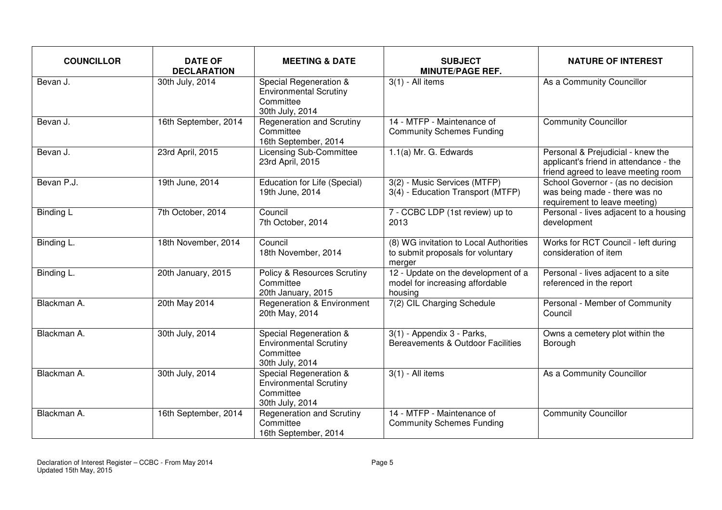| <b>COUNCILLOR</b> | <b>DATE OF</b><br><b>DECLARATION</b> | <b>MEETING &amp; DATE</b>                                                                          | <b>SUBJECT</b><br><b>MINUTE/PAGE REF.</b>                                             | <b>NATURE OF INTEREST</b>                                                                                          |
|-------------------|--------------------------------------|----------------------------------------------------------------------------------------------------|---------------------------------------------------------------------------------------|--------------------------------------------------------------------------------------------------------------------|
| Bevan J.          | 30th July, 2014                      | Special Regeneration &<br><b>Environmental Scrutiny</b><br>Committee<br>30th July, 2014            | $3(1)$ - All items                                                                    | As a Community Councillor                                                                                          |
| Bevan J.          | 16th September, 2014                 | <b>Regeneration and Scrutiny</b><br>Committee<br>16th September, 2014                              | 14 - MTFP - Maintenance of<br><b>Community Schemes Funding</b>                        | <b>Community Councillor</b>                                                                                        |
| Bevan J.          | 23rd April, 2015                     | <b>Licensing Sub-Committee</b><br>23rd April, 2015                                                 | 1.1(a) Mr. G. Edwards                                                                 | Personal & Prejudicial - knew the<br>applicant's friend in attendance - the<br>friend agreed to leave meeting room |
| Bevan P.J.        | 19th June, 2014                      | <b>Education for Life (Special)</b><br>19th June, 2014                                             | 3(2) - Music Services (MTFP)<br>3(4) - Education Transport (MTFP)                     | School Governor - (as no decision<br>was being made - there was no<br>requirement to leave meeting)                |
| <b>Binding L</b>  | 7th October, 2014                    | Council<br>7th October, 2014                                                                       | 7 - CCBC LDP (1st review) up to<br>2013                                               | Personal - lives adjacent to a housing<br>development                                                              |
| Binding L.        | 18th November, 2014                  | Council<br>18th November, 2014                                                                     | (8) WG invitation to Local Authorities<br>to submit proposals for voluntary<br>merger | Works for RCT Council - left during<br>consideration of item                                                       |
| Binding L.        | 20th January, 2015                   | Policy & Resources Scrutiny<br>Committee<br>20th January, 2015                                     | 12 - Update on the development of a<br>model for increasing affordable<br>housing     | Personal - lives adjacent to a site<br>referenced in the report                                                    |
| Blackman A.       | 20th May 2014                        | <b>Regeneration &amp; Environment</b><br>20th May, 2014                                            | 7(2) CIL Charging Schedule                                                            | Personal - Member of Community<br>Council                                                                          |
| Blackman A.       | 30th July, 2014                      | Special Regeneration &<br><b>Environmental Scrutiny</b><br>Committee<br>30th July, 2014            | 3(1) - Appendix 3 - Parks,<br>Bereavements & Outdoor Facilities                       | Owns a cemetery plot within the<br>Borough                                                                         |
| Blackman A.       | 30th July, 2014                      | <b>Special Regeneration &amp;</b><br><b>Environmental Scrutiny</b><br>Committee<br>30th July, 2014 | $3(1)$ - All items                                                                    | As a Community Councillor                                                                                          |
| Blackman A.       | 16th September, 2014                 | <b>Regeneration and Scrutiny</b><br>Committee<br>16th September, 2014                              | 14 - MTFP - Maintenance of<br><b>Community Schemes Funding</b>                        | <b>Community Councillor</b>                                                                                        |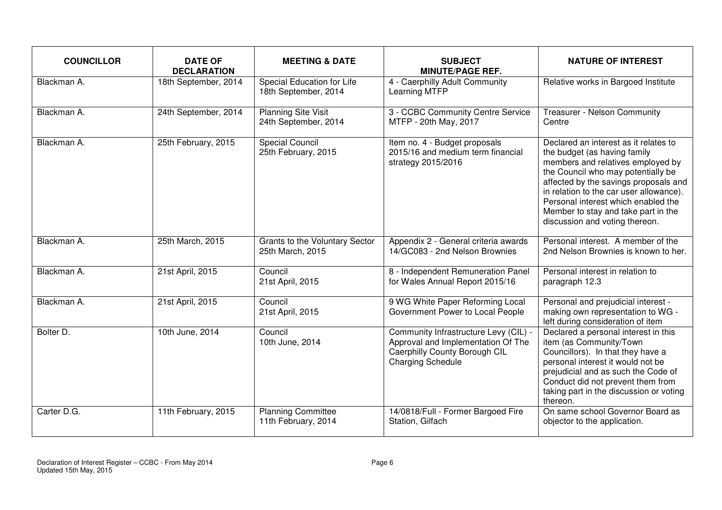| <b>COUNCILLOR</b> | <b>DATE OF</b><br><b>DECLARATION</b> | <b>MEETING &amp; DATE</b>                          | <b>SUBJECT</b><br><b>MINUTE/PAGE REF.</b>                                                                                                | <b>NATURE OF INTEREST</b>                                                                                                                                                                                                                                                                                                                            |
|-------------------|--------------------------------------|----------------------------------------------------|------------------------------------------------------------------------------------------------------------------------------------------|------------------------------------------------------------------------------------------------------------------------------------------------------------------------------------------------------------------------------------------------------------------------------------------------------------------------------------------------------|
| Blackman A.       | 18th September, 2014                 | Special Education for Life<br>18th September, 2014 | 4 - Caerphilly Adult Community<br>Learning MTFP                                                                                          | Relative works in Bargoed Institute                                                                                                                                                                                                                                                                                                                  |
| Blackman A.       | 24th September, 2014                 | <b>Planning Site Visit</b><br>24th September, 2014 | 3 - CCBC Community Centre Service<br>MTFP - 20th May, 2017                                                                               | Treasurer - Nelson Community<br>Centre                                                                                                                                                                                                                                                                                                               |
| Blackman A.       | 25th February, 2015                  | <b>Special Council</b><br>25th February, 2015      | Item no. 4 - Budget proposals<br>2015/16 and medium term financial<br>strategy 2015/2016                                                 | Declared an interest as it relates to<br>the budget (as having family<br>members and relatives employed by<br>the Council who may potentially be<br>affected by the savings proposals and<br>in relation to the car user allowance).<br>Personal interest which enabled the<br>Member to stay and take part in the<br>discussion and voting thereon. |
| Blackman A.       | 25th March, 2015                     | Grants to the Voluntary Sector<br>25th March, 2015 | Appendix 2 - General criteria awards<br>14/GC083 - 2nd Nelson Brownies                                                                   | Personal interest. A member of the<br>2nd Nelson Brownies is known to her.                                                                                                                                                                                                                                                                           |
| Blackman A.       | 21st April, 2015                     | Council<br>21st April, 2015                        | 8 - Independent Remuneration Panel<br>for Wales Annual Report 2015/16                                                                    | Personal interest in relation to<br>paragraph 12.3                                                                                                                                                                                                                                                                                                   |
| Blackman A.       | 21st April, 2015                     | Council<br>21st April, 2015                        | 9 WG White Paper Reforming Local<br>Government Power to Local People                                                                     | Personal and prejudicial interest -<br>making own representation to WG -<br>left during consideration of item                                                                                                                                                                                                                                        |
| Bolter D.         | 10th June, 2014                      | Council<br>10th June, 2014                         | Community Infrastructure Levy (CIL) -<br>Approval and Implementation Of The<br>Caerphilly County Borough CIL<br><b>Charging Schedule</b> | Declared a personal interest in this<br>item (as Community/Town<br>Councillors). In that they have a<br>personal interest it would not be<br>prejudicial and as such the Code of<br>Conduct did not prevent them from<br>taking part in the discussion or voting<br>thereon.                                                                         |
| Carter D.G.       | 11th February, 2015                  | <b>Planning Committee</b><br>11th February, 2014   | 14/0818/Full - Former Bargoed Fire<br>Station, Gilfach                                                                                   | On same school Governor Board as<br>objector to the application.                                                                                                                                                                                                                                                                                     |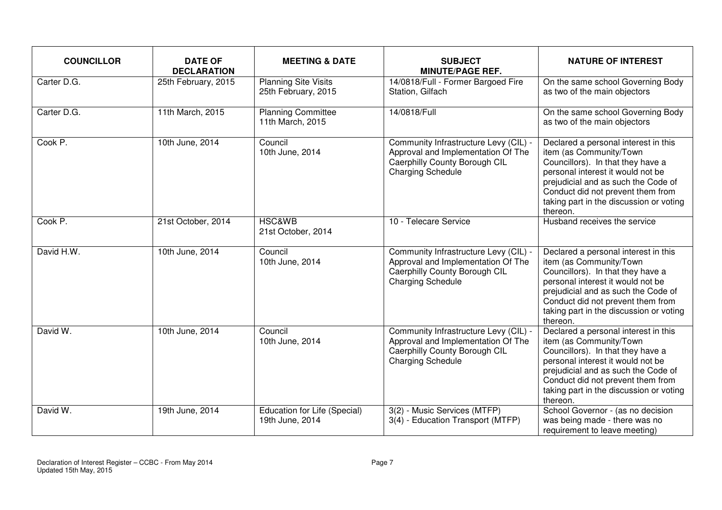| <b>COUNCILLOR</b> | <b>DATE OF</b><br><b>DECLARATION</b> | <b>MEETING &amp; DATE</b>                          | <b>SUBJECT</b><br><b>MINUTE/PAGE REF.</b>                                                                                                | <b>NATURE OF INTEREST</b>                                                                                                                                                                                                                                                    |
|-------------------|--------------------------------------|----------------------------------------------------|------------------------------------------------------------------------------------------------------------------------------------------|------------------------------------------------------------------------------------------------------------------------------------------------------------------------------------------------------------------------------------------------------------------------------|
| Carter D.G.       | 25th February, 2015                  | <b>Planning Site Visits</b><br>25th February, 2015 | 14/0818/Full - Former Bargoed Fire<br>Station, Gilfach                                                                                   | On the same school Governing Body<br>as two of the main objectors                                                                                                                                                                                                            |
| Carter D.G.       | 11th March, 2015                     | <b>Planning Committee</b><br>11th March, 2015      | 14/0818/Full                                                                                                                             | On the same school Governing Body<br>as two of the main objectors                                                                                                                                                                                                            |
| Cook P.           | 10th June, 2014                      | Council<br>10th June, 2014                         | Community Infrastructure Levy (CIL) -<br>Approval and Implementation Of The<br>Caerphilly County Borough CIL<br><b>Charging Schedule</b> | Declared a personal interest in this<br>item (as Community/Town<br>Councillors). In that they have a<br>personal interest it would not be<br>prejudicial and as such the Code of<br>Conduct did not prevent them from<br>taking part in the discussion or voting<br>thereon. |
| Cook P.           | 21st October, 2014                   | <b>HSC&amp;WB</b><br>21st October, 2014            | 10 - Telecare Service                                                                                                                    | Husband receives the service                                                                                                                                                                                                                                                 |
| David H.W.        | 10th June, 2014                      | Council<br>10th June, 2014                         | Community Infrastructure Levy (CIL) -<br>Approval and Implementation Of The<br>Caerphilly County Borough CIL<br><b>Charging Schedule</b> | Declared a personal interest in this<br>item (as Community/Town<br>Councillors). In that they have a<br>personal interest it would not be<br>prejudicial and as such the Code of<br>Conduct did not prevent them from<br>taking part in the discussion or voting<br>thereon. |
| David W.          | 10th June, 2014                      | Council<br>10th June, 2014                         | Community Infrastructure Levy (CIL) -<br>Approval and Implementation Of The<br>Caerphilly County Borough CIL<br><b>Charging Schedule</b> | Declared a personal interest in this<br>item (as Community/Town<br>Councillors). In that they have a<br>personal interest it would not be<br>prejudicial and as such the Code of<br>Conduct did not prevent them from<br>taking part in the discussion or voting<br>thereon. |
| David W.          | 19th June, 2014                      | Education for Life (Special)<br>19th June, 2014    | 3(2) - Music Services (MTFP)<br>3(4) - Education Transport (MTFP)                                                                        | School Governor - (as no decision<br>was being made - there was no<br>requirement to leave meeting)                                                                                                                                                                          |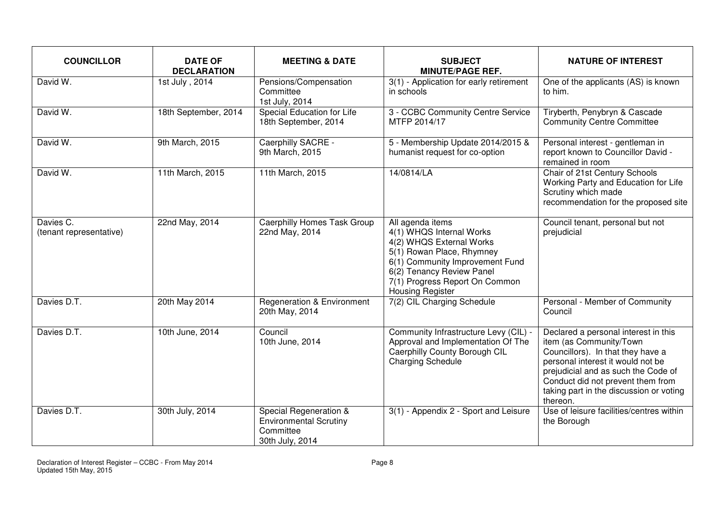| <b>COUNCILLOR</b>                    | <b>DATE OF</b><br><b>DECLARATION</b> | <b>MEETING &amp; DATE</b>                                                               | <b>SUBJECT</b><br><b>MINUTE/PAGE REF.</b>                                                                                                                                                                                          | <b>NATURE OF INTEREST</b>                                                                                                                                                                                                                                                    |
|--------------------------------------|--------------------------------------|-----------------------------------------------------------------------------------------|------------------------------------------------------------------------------------------------------------------------------------------------------------------------------------------------------------------------------------|------------------------------------------------------------------------------------------------------------------------------------------------------------------------------------------------------------------------------------------------------------------------------|
| David W.                             | 1st July, 2014                       | Pensions/Compensation<br>Committee<br>1st July, 2014                                    | 3(1) - Application for early retirement<br>in schools                                                                                                                                                                              | One of the applicants (AS) is known<br>to him.                                                                                                                                                                                                                               |
| David W.                             | 18th September, 2014                 | Special Education for Life<br>18th September, 2014                                      | 3 - CCBC Community Centre Service<br>MTFP 2014/17                                                                                                                                                                                  | Tiryberth, Penybryn & Cascade<br><b>Community Centre Committee</b>                                                                                                                                                                                                           |
| David W.                             | 9th March, 2015                      | Caerphilly SACRE -<br>9th March, 2015                                                   | 5 - Membership Update 2014/2015 &<br>humanist request for co-option                                                                                                                                                                | Personal interest - gentleman in<br>report known to Councillor David -<br>remained in room                                                                                                                                                                                   |
| David W.                             | 11th March, 2015                     | 11th March, 2015                                                                        | 14/0814/LA                                                                                                                                                                                                                         | Chair of 21st Century Schools<br>Working Party and Education for Life<br>Scrutiny which made<br>recommendation for the proposed site                                                                                                                                         |
| Davies C.<br>(tenant representative) | 22nd May, 2014                       | <b>Caerphilly Homes Task Group</b><br>22nd May, 2014                                    | All agenda items<br>4(1) WHQS Internal Works<br>4(2) WHQS External Works<br>5(1) Rowan Place, Rhymney<br>6(1) Community Improvement Fund<br>6(2) Tenancy Review Panel<br>7(1) Progress Report On Common<br><b>Housing Register</b> | Council tenant, personal but not<br>prejudicial                                                                                                                                                                                                                              |
| Davies D.T.                          | 20th May 2014                        | <b>Regeneration &amp; Environment</b><br>20th May, 2014                                 | 7(2) CIL Charging Schedule                                                                                                                                                                                                         | Personal - Member of Community<br>Council                                                                                                                                                                                                                                    |
| Davies D.T.                          | 10th June, 2014                      | Council<br>10th June, 2014                                                              | Community Infrastructure Levy (CIL) -<br>Approval and Implementation Of The<br>Caerphilly County Borough CIL<br><b>Charging Schedule</b>                                                                                           | Declared a personal interest in this<br>item (as Community/Town<br>Councillors). In that they have a<br>personal interest it would not be<br>prejudicial and as such the Code of<br>Conduct did not prevent them from<br>taking part in the discussion or voting<br>thereon. |
| Davies D.T.                          | 30th July, 2014                      | Special Regeneration &<br><b>Environmental Scrutiny</b><br>Committee<br>30th July, 2014 | 3(1) - Appendix 2 - Sport and Leisure                                                                                                                                                                                              | Use of leisure facilities/centres within<br>the Borough                                                                                                                                                                                                                      |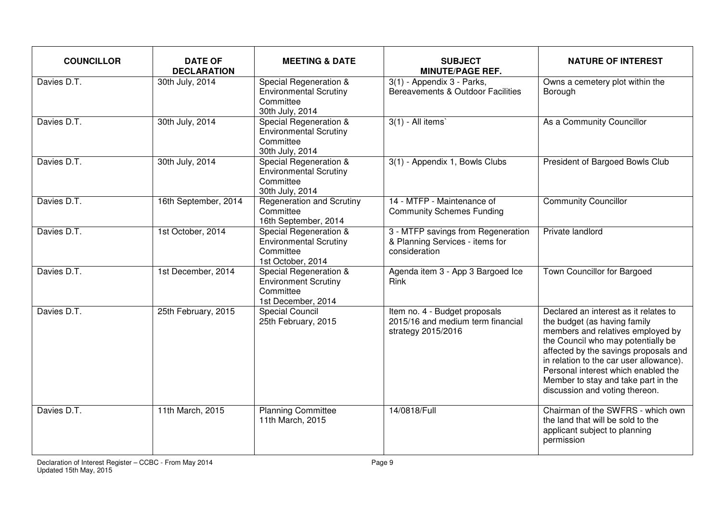| <b>COUNCILLOR</b> | <b>DATE OF</b><br><b>DECLARATION</b> | <b>MEETING &amp; DATE</b>                                                                 | <b>SUBJECT</b><br><b>MINUTE/PAGE REF.</b>                                                | <b>NATURE OF INTEREST</b>                                                                                                                                                                                                                                                                                                                            |
|-------------------|--------------------------------------|-------------------------------------------------------------------------------------------|------------------------------------------------------------------------------------------|------------------------------------------------------------------------------------------------------------------------------------------------------------------------------------------------------------------------------------------------------------------------------------------------------------------------------------------------------|
| Davies D.T.       | 30th July, 2014                      | Special Regeneration &<br><b>Environmental Scrutiny</b><br>Committee<br>30th July, 2014   | 3(1) - Appendix 3 - Parks,<br>Bereavements & Outdoor Facilities                          | Owns a cemetery plot within the<br>Borough                                                                                                                                                                                                                                                                                                           |
| Davies D.T.       | 30th July, 2014                      | Special Regeneration &<br><b>Environmental Scrutiny</b><br>Committee<br>30th July, 2014   | $3(1)$ - All items                                                                       | As a Community Councillor                                                                                                                                                                                                                                                                                                                            |
| Davies D.T.       | 30th July, 2014                      | Special Regeneration &<br><b>Environmental Scrutiny</b><br>Committee<br>30th July, 2014   | 3(1) - Appendix 1, Bowls Clubs                                                           | President of Bargoed Bowls Club                                                                                                                                                                                                                                                                                                                      |
| Davies D.T.       | 16th September, 2014                 | <b>Regeneration and Scrutiny</b><br>Committee<br>16th September, 2014                     | 14 - MTFP - Maintenance of<br><b>Community Schemes Funding</b>                           | <b>Community Councillor</b>                                                                                                                                                                                                                                                                                                                          |
| Davies D.T.       | 1st October, 2014                    | Special Regeneration &<br><b>Environmental Scrutiny</b><br>Committee<br>1st October, 2014 | 3 - MTFP savings from Regeneration<br>& Planning Services - items for<br>consideration   | Private landlord                                                                                                                                                                                                                                                                                                                                     |
| Davies D.T.       | 1st December, 2014                   | Special Regeneration &<br><b>Environment Scrutiny</b><br>Committee<br>1st December, 2014  | Agenda item 3 - App 3 Bargoed Ice<br><b>Rink</b>                                         | Town Councillor for Bargoed                                                                                                                                                                                                                                                                                                                          |
| Davies D.T.       | 25th February, 2015                  | <b>Special Council</b><br>25th February, 2015                                             | Item no. 4 - Budget proposals<br>2015/16 and medium term financial<br>strategy 2015/2016 | Declared an interest as it relates to<br>the budget (as having family<br>members and relatives employed by<br>the Council who may potentially be<br>affected by the savings proposals and<br>in relation to the car user allowance).<br>Personal interest which enabled the<br>Member to stay and take part in the<br>discussion and voting thereon. |
| Davies D.T.       | 11th March, 2015                     | <b>Planning Committee</b><br>11th March, 2015                                             | 14/0818/Full                                                                             | Chairman of the SWFRS - which own<br>the land that will be sold to the<br>applicant subject to planning<br>permission                                                                                                                                                                                                                                |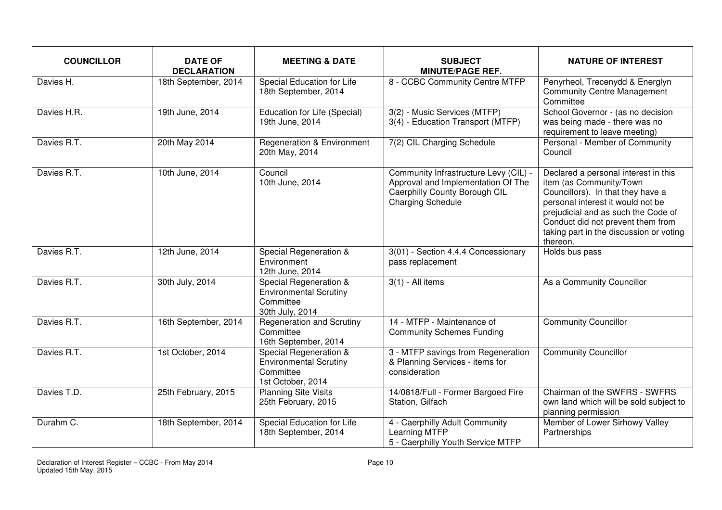| <b>COUNCILLOR</b> | <b>DATE OF</b><br><b>DECLARATION</b> | <b>MEETING &amp; DATE</b>                                                                 | <b>SUBJECT</b><br><b>MINUTE/PAGE REF.</b>                                                                                                | <b>NATURE OF INTEREST</b>                                                                                                                                                                                                                                                    |
|-------------------|--------------------------------------|-------------------------------------------------------------------------------------------|------------------------------------------------------------------------------------------------------------------------------------------|------------------------------------------------------------------------------------------------------------------------------------------------------------------------------------------------------------------------------------------------------------------------------|
| Davies H.         | 18th September, 2014                 | Special Education for Life<br>18th September, 2014                                        | 8 - CCBC Community Centre MTFP                                                                                                           | Penyrheol, Trecenydd & Energlyn<br><b>Community Centre Management</b><br>Committee                                                                                                                                                                                           |
| Davies H.R.       | 19th June, 2014                      | Education for Life (Special)<br>19th June, 2014                                           | 3(2) - Music Services (MTFP)<br>3(4) - Education Transport (MTFP)                                                                        | School Governor - (as no decision<br>was being made - there was no<br>requirement to leave meeting)                                                                                                                                                                          |
| Davies R.T.       | 20th May 2014                        | <b>Regeneration &amp; Environment</b><br>20th May, 2014                                   | 7(2) CIL Charging Schedule                                                                                                               | Personal - Member of Community<br>Council                                                                                                                                                                                                                                    |
| Davies R.T.       | 10th June, 2014                      | Council<br>10th June, 2014                                                                | Community Infrastructure Levy (CIL) -<br>Approval and Implementation Of The<br>Caerphilly County Borough CIL<br><b>Charging Schedule</b> | Declared a personal interest in this<br>item (as Community/Town<br>Councillors). In that they have a<br>personal interest it would not be<br>prejudicial and as such the Code of<br>Conduct did not prevent them from<br>taking part in the discussion or voting<br>thereon. |
| Davies R.T.       | 12th June, 2014                      | Special Regeneration &<br>Environment<br>12th June, 2014                                  | 3(01) - Section 4.4.4 Concessionary<br>pass replacement                                                                                  | Holds bus pass                                                                                                                                                                                                                                                               |
| Davies R.T.       | 30th July, 2014                      | Special Regeneration &<br><b>Environmental Scrutiny</b><br>Committee<br>30th July, 2014   | $3(1)$ - All items                                                                                                                       | As a Community Councillor                                                                                                                                                                                                                                                    |
| Davies R.T.       | 16th September, 2014                 | <b>Regeneration and Scrutiny</b><br>Committee<br>16th September, 2014                     | 14 - MTFP - Maintenance of<br><b>Community Schemes Funding</b>                                                                           | <b>Community Councillor</b>                                                                                                                                                                                                                                                  |
| Davies R.T.       | 1st October, 2014                    | Special Regeneration &<br><b>Environmental Scrutiny</b><br>Committee<br>1st October, 2014 | 3 - MTFP savings from Regeneration<br>& Planning Services - items for<br>consideration                                                   | <b>Community Councillor</b>                                                                                                                                                                                                                                                  |
| Davies T.D.       | 25th February, 2015                  | <b>Planning Site Visits</b><br>25th February, 2015                                        | 14/0818/Full - Former Bargoed Fire<br>Station, Gilfach                                                                                   | Chairman of the SWFRS - SWFRS<br>own land which will be sold subject to<br>planning permission                                                                                                                                                                               |
| Durahm C.         | 18th September, 2014                 | Special Education for Life<br>18th September, 2014                                        | 4 - Caerphilly Adult Community<br>Learning MTFP<br>5 - Caerphilly Youth Service MTFP                                                     | Member of Lower Sirhowy Valley<br>Partnerships                                                                                                                                                                                                                               |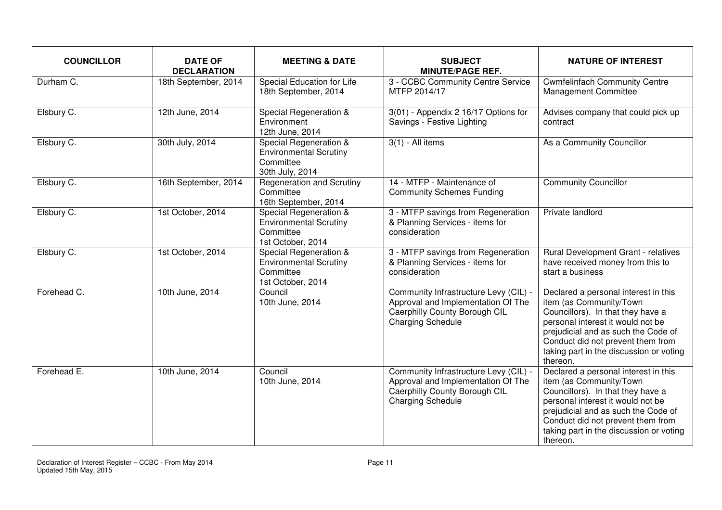| <b>COUNCILLOR</b> | <b>DATE OF</b><br><b>DECLARATION</b> | <b>MEETING &amp; DATE</b>                                                                 | <b>SUBJECT</b><br><b>MINUTE/PAGE REF.</b>                                                                                                | <b>NATURE OF INTEREST</b>                                                                                                                                                                                                                                                    |
|-------------------|--------------------------------------|-------------------------------------------------------------------------------------------|------------------------------------------------------------------------------------------------------------------------------------------|------------------------------------------------------------------------------------------------------------------------------------------------------------------------------------------------------------------------------------------------------------------------------|
| Durham C.         | 18th September, 2014                 | Special Education for Life<br>18th September, 2014                                        | 3 - CCBC Community Centre Service<br>MTFP 2014/17                                                                                        | <b>Cwmfelinfach Community Centre</b><br><b>Management Committee</b>                                                                                                                                                                                                          |
| Elsbury C.        | 12th June, 2014                      | Special Regeneration &<br>Environment<br>12th June, 2014                                  | 3(01) - Appendix 2 16/17 Options for<br>Savings - Festive Lighting                                                                       | Advises company that could pick up<br>contract                                                                                                                                                                                                                               |
| Elsbury C.        | 30th July, 2014                      | Special Regeneration &<br><b>Environmental Scrutiny</b><br>Committee<br>30th July, 2014   | $3(1)$ - All items                                                                                                                       | As a Community Councillor                                                                                                                                                                                                                                                    |
| Elsbury C.        | 16th September, 2014                 | <b>Regeneration and Scrutiny</b><br>Committee<br>16th September, 2014                     | 14 - MTFP - Maintenance of<br><b>Community Schemes Funding</b>                                                                           | <b>Community Councillor</b>                                                                                                                                                                                                                                                  |
| Elsbury C.        | 1st October, 2014                    | Special Regeneration &<br><b>Environmental Scrutiny</b><br>Committee<br>1st October, 2014 | 3 - MTFP savings from Regeneration<br>& Planning Services - items for<br>consideration                                                   | Private landlord                                                                                                                                                                                                                                                             |
| Elsbury C.        | 1st October, 2014                    | Special Regeneration &<br><b>Environmental Scrutiny</b><br>Committee<br>1st October, 2014 | 3 - MTFP savings from Regeneration<br>& Planning Services - items for<br>consideration                                                   | Rural Development Grant - relatives<br>have received money from this to<br>start a business                                                                                                                                                                                  |
| Forehead C.       | 10th June, 2014                      | Council<br>10th June, 2014                                                                | Community Infrastructure Levy (CIL) -<br>Approval and Implementation Of The<br>Caerphilly County Borough CIL<br><b>Charging Schedule</b> | Declared a personal interest in this<br>item (as Community/Town<br>Councillors). In that they have a<br>personal interest it would not be<br>prejudicial and as such the Code of<br>Conduct did not prevent them from<br>taking part in the discussion or voting<br>thereon. |
| Forehead E.       | 10th June, 2014                      | Council<br>10th June, 2014                                                                | Community Infrastructure Levy (CIL) -<br>Approval and Implementation Of The<br>Caerphilly County Borough CIL<br><b>Charging Schedule</b> | Declared a personal interest in this<br>item (as Community/Town<br>Councillors). In that they have a<br>personal interest it would not be<br>prejudicial and as such the Code of<br>Conduct did not prevent them from<br>taking part in the discussion or voting<br>thereon. |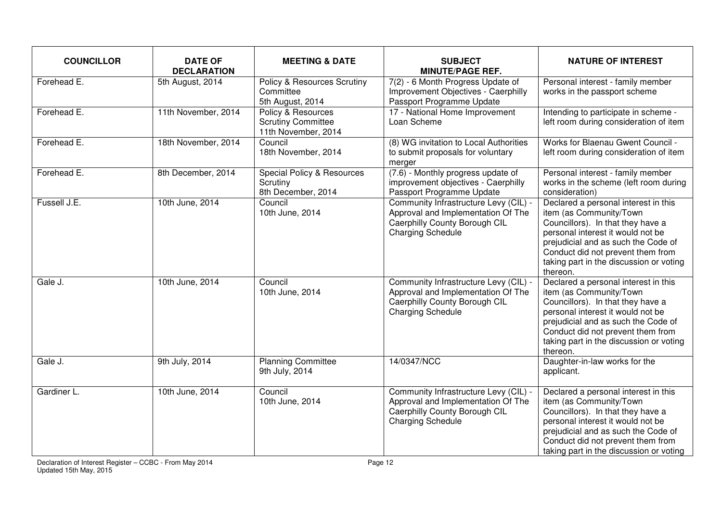| <b>COUNCILLOR</b> | <b>DATE OF</b><br><b>DECLARATION</b> | <b>MEETING &amp; DATE</b>                                              | <b>SUBJECT</b><br><b>MINUTE/PAGE REF.</b>                                                                                                | <b>NATURE OF INTEREST</b>                                                                                                                                                                                                                                                    |
|-------------------|--------------------------------------|------------------------------------------------------------------------|------------------------------------------------------------------------------------------------------------------------------------------|------------------------------------------------------------------------------------------------------------------------------------------------------------------------------------------------------------------------------------------------------------------------------|
| Forehead E.       | 5th August, 2014                     | Policy & Resources Scrutiny<br>Committee<br>5th August, 2014           | 7(2) - 6 Month Progress Update of<br>Improvement Objectives - Caerphilly<br>Passport Programme Update                                    | Personal interest - family member<br>works in the passport scheme                                                                                                                                                                                                            |
| Forehead E.       | 11th November, 2014                  | Policy & Resources<br><b>Scrutiny Committee</b><br>11th November, 2014 | 17 - National Home Improvement<br>Loan Scheme                                                                                            | Intending to participate in scheme -<br>left room during consideration of item                                                                                                                                                                                               |
| Forehead E.       | 18th November, 2014                  | Council<br>18th November, 2014                                         | (8) WG invitation to Local Authorities<br>to submit proposals for voluntary<br>merger                                                    | Works for Blaenau Gwent Council -<br>left room during consideration of item                                                                                                                                                                                                  |
| Forehead E.       | 8th December, 2014                   | Special Policy & Resources<br>Scrutiny<br>8th December, 2014           | (7.6) - Monthly progress update of<br>improvement objectives - Caerphilly<br>Passport Programme Update                                   | Personal interest - family member<br>works in the scheme (left room during<br>consideration)                                                                                                                                                                                 |
| Fussell J.E.      | 10th June, 2014                      | Council<br>10th June, 2014                                             | Community Infrastructure Levy (CIL) -<br>Approval and Implementation Of The<br>Caerphilly County Borough CIL<br><b>Charging Schedule</b> | Declared a personal interest in this<br>item (as Community/Town<br>Councillors). In that they have a<br>personal interest it would not be<br>prejudicial and as such the Code of<br>Conduct did not prevent them from<br>taking part in the discussion or voting<br>thereon. |
| Gale J.           | 10th June, 2014                      | Council<br>10th June, 2014                                             | Community Infrastructure Levy (CIL) -<br>Approval and Implementation Of The<br>Caerphilly County Borough CIL<br><b>Charging Schedule</b> | Declared a personal interest in this<br>item (as Community/Town<br>Councillors). In that they have a<br>personal interest it would not be<br>prejudicial and as such the Code of<br>Conduct did not prevent them from<br>taking part in the discussion or voting<br>thereon. |
| Gale J.           | 9th July, 2014                       | <b>Planning Committee</b><br>9th July, 2014                            | 14/0347/NCC                                                                                                                              | Daughter-in-law works for the<br>applicant.                                                                                                                                                                                                                                  |
| Gardiner L.       | 10th June, 2014                      | Council<br>10th June, 2014                                             | Community Infrastructure Levy (CIL) -<br>Approval and Implementation Of The<br>Caerphilly County Borough CIL<br><b>Charging Schedule</b> | Declared a personal interest in this<br>item (as Community/Town<br>Councillors). In that they have a<br>personal interest it would not be<br>prejudicial and as such the Code of<br>Conduct did not prevent them from<br>taking part in the discussion or voting             |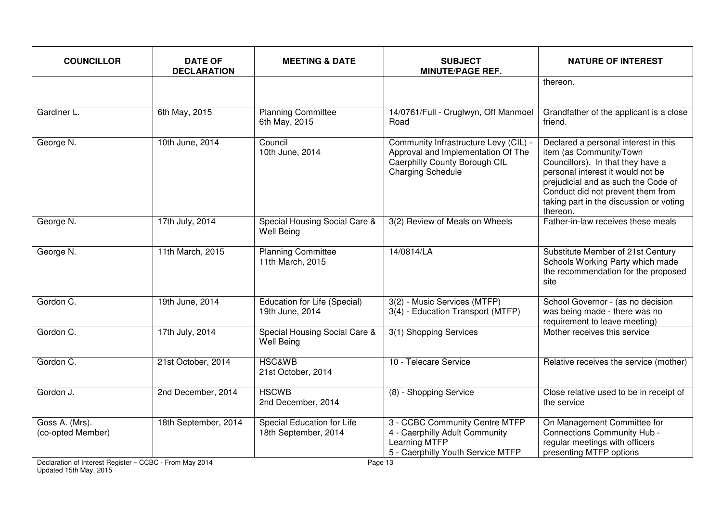| <b>COUNCILLOR</b>                   | <b>DATE OF</b><br><b>DECLARATION</b> | <b>MEETING &amp; DATE</b>                          | <b>SUBJECT</b><br><b>MINUTE/PAGE REF.</b>                                                                                                | <b>NATURE OF INTEREST</b>                                                                                                                                                                                                                                                    |
|-------------------------------------|--------------------------------------|----------------------------------------------------|------------------------------------------------------------------------------------------------------------------------------------------|------------------------------------------------------------------------------------------------------------------------------------------------------------------------------------------------------------------------------------------------------------------------------|
|                                     |                                      |                                                    |                                                                                                                                          | thereon.                                                                                                                                                                                                                                                                     |
| Gardiner L.                         | 6th May, 2015                        | <b>Planning Committee</b><br>6th May, 2015         | 14/0761/Full - Cruglwyn, Off Manmoel<br>Road                                                                                             | Grandfather of the applicant is a close<br>friend.                                                                                                                                                                                                                           |
| George N.                           | 10th June, 2014                      | Council<br>10th June, 2014                         | Community Infrastructure Levy (CIL) -<br>Approval and Implementation Of The<br>Caerphilly County Borough CIL<br><b>Charging Schedule</b> | Declared a personal interest in this<br>item (as Community/Town<br>Councillors). In that they have a<br>personal interest it would not be<br>prejudicial and as such the Code of<br>Conduct did not prevent them from<br>taking part in the discussion or voting<br>thereon. |
| George N.                           | 17th July, 2014                      | Special Housing Social Care &<br><b>Well Being</b> | 3(2) Review of Meals on Wheels                                                                                                           | Father-in-law receives these meals                                                                                                                                                                                                                                           |
| George N.                           | 11th March, 2015                     | <b>Planning Committee</b><br>11th March, 2015      | 14/0814/LA                                                                                                                               | Substitute Member of 21st Century<br>Schools Working Party which made<br>the recommendation for the proposed<br>site                                                                                                                                                         |
| Gordon C.                           | 19th June, 2014                      | Education for Life (Special)<br>19th June, 2014    | 3(2) - Music Services (MTFP)<br>3(4) - Education Transport (MTFP)                                                                        | School Governor - (as no decision<br>was being made - there was no<br>requirement to leave meeting)                                                                                                                                                                          |
| Gordon C.                           | 17th July, 2014                      | Special Housing Social Care &<br><b>Well Being</b> | 3(1) Shopping Services                                                                                                                   | Mother receives this service                                                                                                                                                                                                                                                 |
| Gordon C.                           | 21st October, 2014                   | <b>HSC&amp;WB</b><br>21st October, 2014            | 10 - Telecare Service                                                                                                                    | Relative receives the service (mother)                                                                                                                                                                                                                                       |
| Gordon J.                           | 2nd December, 2014                   | <b>HSCWB</b><br>2nd December, 2014                 | (8) - Shopping Service                                                                                                                   | Close relative used to be in receipt of<br>the service                                                                                                                                                                                                                       |
| Goss A. (Mrs).<br>(co-opted Member) | 18th September, 2014                 | Special Education for Life<br>18th September, 2014 | 3 - CCBC Community Centre MTFP<br>4 - Caerphilly Adult Community<br>Learning MTFP<br>5 - Caerphilly Youth Service MTFP                   | On Management Committee for<br>Connections Community Hub -<br>regular meetings with officers<br>presenting MTFP options                                                                                                                                                      |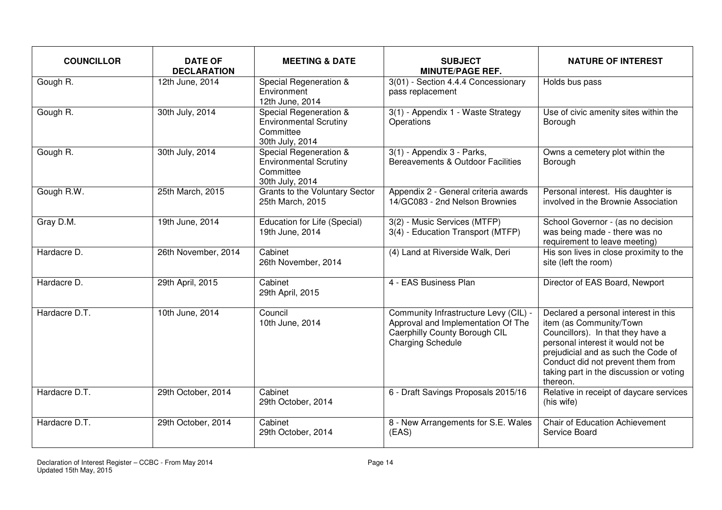| <b>COUNCILLOR</b> | <b>DATE OF</b><br><b>DECLARATION</b> | <b>MEETING &amp; DATE</b>                                                               | <b>SUBJECT</b><br><b>MINUTE/PAGE REF.</b>                                                                                                | <b>NATURE OF INTEREST</b>                                                                                                                                                                                                                                                    |
|-------------------|--------------------------------------|-----------------------------------------------------------------------------------------|------------------------------------------------------------------------------------------------------------------------------------------|------------------------------------------------------------------------------------------------------------------------------------------------------------------------------------------------------------------------------------------------------------------------------|
| Gough R.          | 12th June, 2014                      | Special Regeneration &<br>Environment<br>12th June, 2014                                | 3(01) - Section 4.4.4 Concessionary<br>pass replacement                                                                                  | Holds bus pass                                                                                                                                                                                                                                                               |
| Gough R.          | 30th July, 2014                      | Special Regeneration &<br><b>Environmental Scrutiny</b><br>Committee<br>30th July, 2014 | 3(1) - Appendix 1 - Waste Strategy<br>Operations                                                                                         | Use of civic amenity sites within the<br>Borough                                                                                                                                                                                                                             |
| Gough R.          | 30th July, 2014                      | Special Regeneration &<br><b>Environmental Scrutiny</b><br>Committee<br>30th July, 2014 | 3(1) - Appendix 3 - Parks,<br>Bereavements & Outdoor Facilities                                                                          | Owns a cemetery plot within the<br>Borough                                                                                                                                                                                                                                   |
| Gough R.W.        | 25th March, 2015                     | Grants to the Voluntary Sector<br>25th March, 2015                                      | Appendix 2 - General criteria awards<br>14/GC083 - 2nd Nelson Brownies                                                                   | Personal interest. His daughter is<br>involved in the Brownie Association                                                                                                                                                                                                    |
| Gray D.M.         | 19th June, 2014                      | Education for Life (Special)<br>19th June, 2014                                         | 3(2) - Music Services (MTFP)<br>3(4) - Education Transport (MTFP)                                                                        | School Governor - (as no decision<br>was being made - there was no<br>requirement to leave meeting)                                                                                                                                                                          |
| Hardacre D.       | 26th November, 2014                  | Cabinet<br>26th November, 2014                                                          | (4) Land at Riverside Walk, Deri                                                                                                         | His son lives in close proximity to the<br>site (left the room)                                                                                                                                                                                                              |
| Hardacre D.       | 29th April, 2015                     | Cabinet<br>29th April, 2015                                                             | 4 - EAS Business Plan                                                                                                                    | Director of EAS Board, Newport                                                                                                                                                                                                                                               |
| Hardacre D.T.     | 10th June, 2014                      | Council<br>10th June, 2014                                                              | Community Infrastructure Levy (CIL) -<br>Approval and Implementation Of The<br>Caerphilly County Borough CIL<br><b>Charging Schedule</b> | Declared a personal interest in this<br>item (as Community/Town<br>Councillors). In that they have a<br>personal interest it would not be<br>prejudicial and as such the Code of<br>Conduct did not prevent them from<br>taking part in the discussion or voting<br>thereon. |
| Hardacre D.T.     | 29th October, 2014                   | Cabinet<br>29th October, 2014                                                           | 6 - Draft Savings Proposals 2015/16                                                                                                      | Relative in receipt of daycare services<br>(his wife)                                                                                                                                                                                                                        |
| Hardacre D.T.     | 29th October, 2014                   | Cabinet<br>29th October, 2014                                                           | 8 - New Arrangements for S.E. Wales<br>(EAS)                                                                                             | <b>Chair of Education Achievement</b><br>Service Board                                                                                                                                                                                                                       |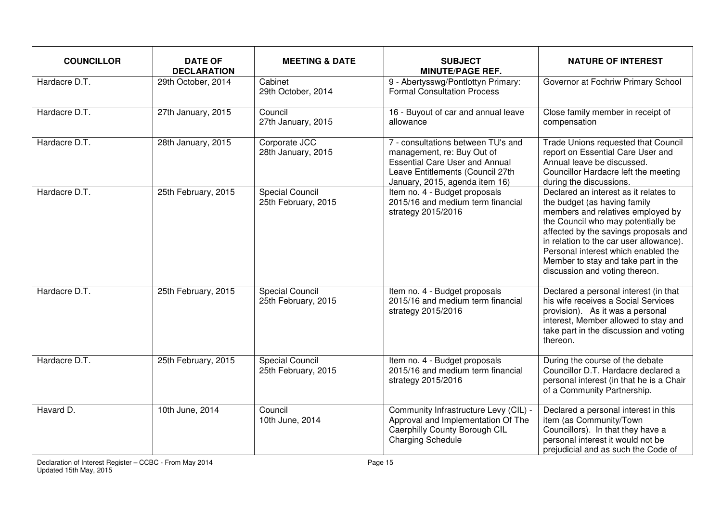| <b>COUNCILLOR</b> | <b>DATE OF</b><br><b>DECLARATION</b> | <b>MEETING &amp; DATE</b>                     | <b>SUBJECT</b><br><b>MINUTE/PAGE REF.</b>                                                                                                                                       | <b>NATURE OF INTEREST</b>                                                                                                                                                                                                                                                                                                                            |
|-------------------|--------------------------------------|-----------------------------------------------|---------------------------------------------------------------------------------------------------------------------------------------------------------------------------------|------------------------------------------------------------------------------------------------------------------------------------------------------------------------------------------------------------------------------------------------------------------------------------------------------------------------------------------------------|
| Hardacre D.T.     | 29th October, 2014                   | Cabinet<br>29th October, 2014                 | 9 - Abertysswg/Pontlottyn Primary:<br><b>Formal Consultation Process</b>                                                                                                        | Governor at Fochriw Primary School                                                                                                                                                                                                                                                                                                                   |
| Hardacre D.T.     | 27th January, 2015                   | Council<br>27th January, 2015                 | 16 - Buyout of car and annual leave<br>allowance                                                                                                                                | Close family member in receipt of<br>compensation                                                                                                                                                                                                                                                                                                    |
| Hardacre D.T.     | 28th January, 2015                   | Corporate JCC<br>28th January, 2015           | 7 - consultations between TU's and<br>management, re: Buy Out of<br><b>Essential Care User and Annual</b><br>Leave Entitlements (Council 27th<br>January, 2015, agenda item 16) | Trade Unions requested that Council<br>report on Essential Care User and<br>Annual leave be discussed.<br>Councillor Hardacre left the meeting<br>during the discussions.                                                                                                                                                                            |
| Hardacre D.T.     | 25th February, 2015                  | <b>Special Council</b><br>25th February, 2015 | Item no. 4 - Budget proposals<br>2015/16 and medium term financial<br>strategy 2015/2016                                                                                        | Declared an interest as it relates to<br>the budget (as having family<br>members and relatives employed by<br>the Council who may potentially be<br>affected by the savings proposals and<br>in relation to the car user allowance).<br>Personal interest which enabled the<br>Member to stay and take part in the<br>discussion and voting thereon. |
| Hardacre D.T.     | 25th February, 2015                  | <b>Special Council</b><br>25th February, 2015 | Item no. 4 - Budget proposals<br>2015/16 and medium term financial<br>strategy 2015/2016                                                                                        | Declared a personal interest (in that<br>his wife receives a Social Services<br>provision). As it was a personal<br>interest, Member allowed to stay and<br>take part in the discussion and voting<br>thereon.                                                                                                                                       |
| Hardacre D.T.     | 25th February, 2015                  | Special Council<br>25th February, 2015        | Item no. 4 - Budget proposals<br>2015/16 and medium term financial<br>strategy 2015/2016                                                                                        | During the course of the debate<br>Councillor D.T. Hardacre declared a<br>personal interest (in that he is a Chair<br>of a Community Partnership.                                                                                                                                                                                                    |
| Havard D.         | 10th June, 2014                      | Council<br>10th June, 2014                    | Community Infrastructure Levy (CIL) -<br>Approval and Implementation Of The<br>Caerphilly County Borough CIL<br><b>Charging Schedule</b>                                        | Declared a personal interest in this<br>item (as Community/Town<br>Councillors). In that they have a<br>personal interest it would not be<br>prejudicial and as such the Code of                                                                                                                                                                     |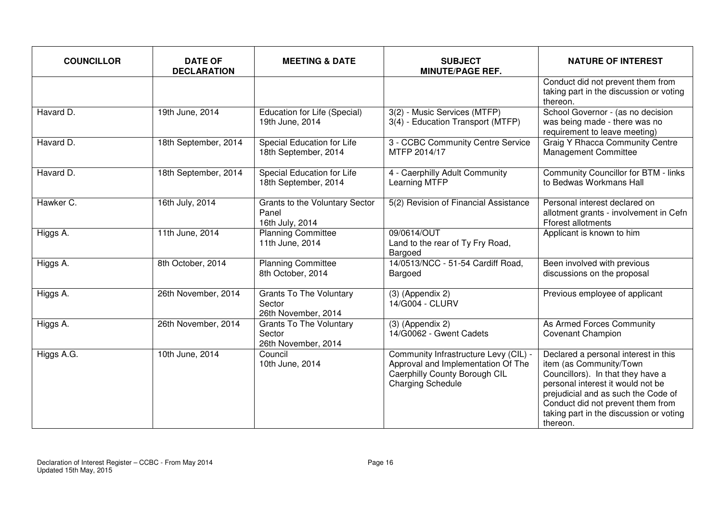| <b>COUNCILLOR</b> | <b>DATE OF</b><br><b>DECLARATION</b> | <b>MEETING &amp; DATE</b>                                       | <b>SUBJECT</b><br><b>MINUTE/PAGE REF.</b>                                                                                                | <b>NATURE OF INTEREST</b>                                                                                                                                                                                                                                                    |
|-------------------|--------------------------------------|-----------------------------------------------------------------|------------------------------------------------------------------------------------------------------------------------------------------|------------------------------------------------------------------------------------------------------------------------------------------------------------------------------------------------------------------------------------------------------------------------------|
|                   |                                      |                                                                 |                                                                                                                                          | Conduct did not prevent them from<br>taking part in the discussion or voting<br>thereon.                                                                                                                                                                                     |
| Havard D.         | 19th June, 2014                      | Education for Life (Special)<br>19th June, 2014                 | 3(2) - Music Services (MTFP)<br>3(4) - Education Transport (MTFP)                                                                        | School Governor - (as no decision<br>was being made - there was no<br>requirement to leave meeting)                                                                                                                                                                          |
| Havard D.         | 18th September, 2014                 | Special Education for Life<br>18th September, 2014              | 3 - CCBC Community Centre Service<br>MTFP 2014/17                                                                                        | <b>Graig Y Rhacca Community Centre</b><br>Management Committee                                                                                                                                                                                                               |
| Havard D.         | 18th September, 2014                 | Special Education for Life<br>18th September, 2014              | 4 - Caerphilly Adult Community<br>Learning MTFP                                                                                          | Community Councillor for BTM - links<br>to Bedwas Workmans Hall                                                                                                                                                                                                              |
| Hawker C.         | 16th July, 2014                      | Grants to the Voluntary Sector<br>Panel<br>16th July, 2014      | 5(2) Revision of Financial Assistance                                                                                                    | Personal interest declared on<br>allotment grants - involvement in Cefn<br>Fforest allotments                                                                                                                                                                                |
| Higgs A.          | 11th June, 2014                      | <b>Planning Committee</b><br>11th June, 2014                    | 09/0614/OUT<br>Land to the rear of Ty Fry Road,<br>Bargoed                                                                               | Applicant is known to him                                                                                                                                                                                                                                                    |
| Higgs A.          | 8th October, 2014                    | <b>Planning Committee</b><br>8th October, 2014                  | 14/0513/NCC - 51-54 Cardiff Road,<br>Bargoed                                                                                             | Been involved with previous<br>discussions on the proposal                                                                                                                                                                                                                   |
| Higgs A.          | 26th November, 2014                  | <b>Grants To The Voluntary</b><br>Sector<br>26th November, 2014 | $(3)$ (Appendix 2)<br>14/G004 - CLURV                                                                                                    | Previous employee of applicant                                                                                                                                                                                                                                               |
| Higgs A.          | 26th November, 2014                  | <b>Grants To The Voluntary</b><br>Sector<br>26th November, 2014 | $(3)$ (Appendix 2)<br>14/G0062 - Gwent Cadets                                                                                            | As Armed Forces Community<br><b>Covenant Champion</b>                                                                                                                                                                                                                        |
| Higgs A.G.        | 10th June, 2014                      | Council<br>10th June, 2014                                      | Community Infrastructure Levy (CIL) -<br>Approval and Implementation Of The<br>Caerphilly County Borough CIL<br><b>Charging Schedule</b> | Declared a personal interest in this<br>item (as Community/Town<br>Councillors). In that they have a<br>personal interest it would not be<br>prejudicial and as such the Code of<br>Conduct did not prevent them from<br>taking part in the discussion or voting<br>thereon. |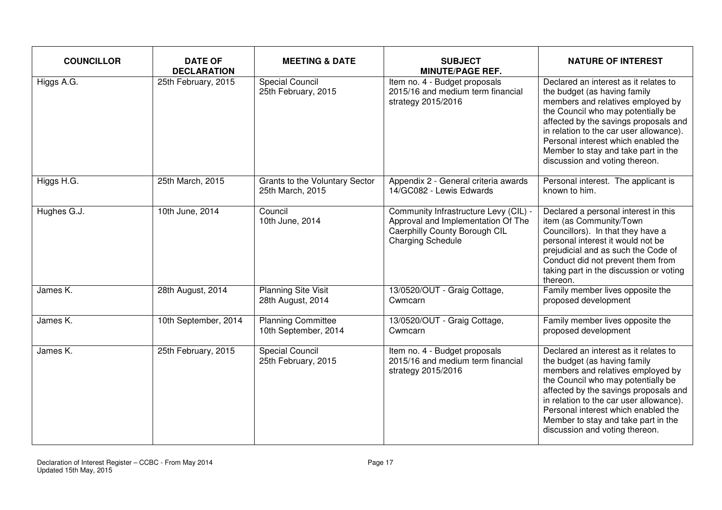| <b>COUNCILLOR</b> | <b>DATE OF</b><br><b>DECLARATION</b> | <b>MEETING &amp; DATE</b>                          | <b>SUBJECT</b><br><b>MINUTE/PAGE REF.</b>                                                                                         | <b>NATURE OF INTEREST</b>                                                                                                                                                                                                                                                                                                                            |
|-------------------|--------------------------------------|----------------------------------------------------|-----------------------------------------------------------------------------------------------------------------------------------|------------------------------------------------------------------------------------------------------------------------------------------------------------------------------------------------------------------------------------------------------------------------------------------------------------------------------------------------------|
| Higgs A.G.        | 25th February, 2015                  | <b>Special Council</b><br>25th February, 2015      | Item no. 4 - Budget proposals<br>2015/16 and medium term financial<br>strategy 2015/2016                                          | Declared an interest as it relates to<br>the budget (as having family<br>members and relatives employed by<br>the Council who may potentially be<br>affected by the savings proposals and<br>in relation to the car user allowance).<br>Personal interest which enabled the<br>Member to stay and take part in the<br>discussion and voting thereon. |
| Higgs H.G.        | 25th March, 2015                     | Grants to the Voluntary Sector<br>25th March, 2015 | Appendix 2 - General criteria awards<br>14/GC082 - Lewis Edwards                                                                  | Personal interest. The applicant is<br>known to him.                                                                                                                                                                                                                                                                                                 |
| Hughes G.J.       | 10th June, 2014                      | Council<br>10th June, 2014                         | Community Infrastructure Levy (CIL) -<br>Approval and Implementation Of The<br>Caerphilly County Borough CIL<br>Charging Schedule | Declared a personal interest in this<br>item (as Community/Town<br>Councillors). In that they have a<br>personal interest it would not be<br>prejudicial and as such the Code of<br>Conduct did not prevent them from<br>taking part in the discussion or voting<br>thereon.                                                                         |
| James K.          | 28th August, 2014                    | <b>Planning Site Visit</b><br>28th August, 2014    | 13/0520/OUT - Graig Cottage,<br>Cwmcarn                                                                                           | Family member lives opposite the<br>proposed development                                                                                                                                                                                                                                                                                             |
| James K.          | 10th September, 2014                 | <b>Planning Committee</b><br>10th September, 2014  | 13/0520/OUT - Graig Cottage,<br>Cwmcarn                                                                                           | Family member lives opposite the<br>proposed development                                                                                                                                                                                                                                                                                             |
| James K.          | 25th February, 2015                  | <b>Special Council</b><br>25th February, 2015      | Item no. 4 - Budget proposals<br>2015/16 and medium term financial<br>strategy 2015/2016                                          | Declared an interest as it relates to<br>the budget (as having family<br>members and relatives employed by<br>the Council who may potentially be<br>affected by the savings proposals and<br>in relation to the car user allowance).<br>Personal interest which enabled the<br>Member to stay and take part in the<br>discussion and voting thereon. |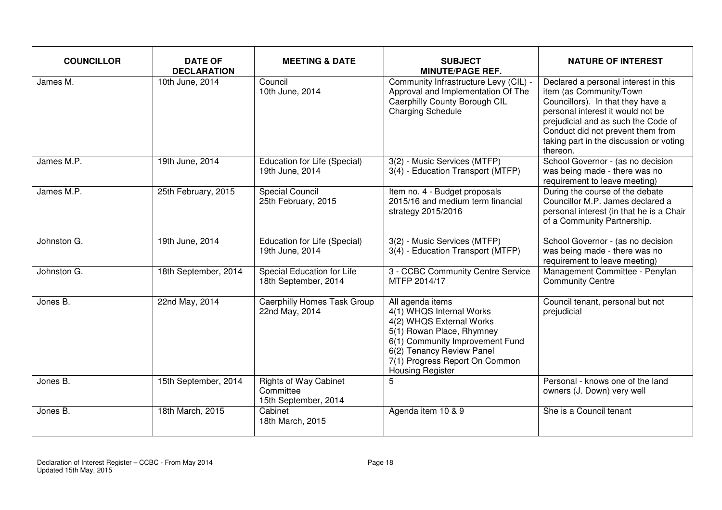| <b>COUNCILLOR</b> | <b>DATE OF</b><br><b>DECLARATION</b> | <b>MEETING &amp; DATE</b>                                         | <b>SUBJECT</b><br><b>MINUTE/PAGE REF.</b>                                                                                                                                                                                          | <b>NATURE OF INTEREST</b>                                                                                                                                                                                                                                                    |
|-------------------|--------------------------------------|-------------------------------------------------------------------|------------------------------------------------------------------------------------------------------------------------------------------------------------------------------------------------------------------------------------|------------------------------------------------------------------------------------------------------------------------------------------------------------------------------------------------------------------------------------------------------------------------------|
| James M.          | 10th June, 2014                      | Council<br>10th June, 2014                                        | Community Infrastructure Levy (CIL) -<br>Approval and Implementation Of The<br>Caerphilly County Borough CIL<br><b>Charging Schedule</b>                                                                                           | Declared a personal interest in this<br>item (as Community/Town<br>Councillors). In that they have a<br>personal interest it would not be<br>prejudicial and as such the Code of<br>Conduct did not prevent them from<br>taking part in the discussion or voting<br>thereon. |
| James M.P.        | 19th June, 2014                      | Education for Life (Special)<br>19th June, 2014                   | 3(2) - Music Services (MTFP)<br>3(4) - Education Transport (MTFP)                                                                                                                                                                  | School Governor - (as no decision<br>was being made - there was no<br>requirement to leave meeting)                                                                                                                                                                          |
| James M.P.        | 25th February, 2015                  | <b>Special Council</b><br>25th February, 2015                     | Item no. 4 - Budget proposals<br>2015/16 and medium term financial<br>strategy 2015/2016                                                                                                                                           | During the course of the debate<br>Councillor M.P. James declared a<br>personal interest (in that he is a Chair<br>of a Community Partnership.                                                                                                                               |
| Johnston G.       | 19th June, 2014                      | Education for Life (Special)<br>19th June, 2014                   | 3(2) - Music Services (MTFP)<br>3(4) - Education Transport (MTFP)                                                                                                                                                                  | School Governor - (as no decision<br>was being made - there was no<br>requirement to leave meeting)                                                                                                                                                                          |
| Johnston G.       | 18th September, 2014                 | Special Education for Life<br>18th September, 2014                | 3 - CCBC Community Centre Service<br>MTFP 2014/17                                                                                                                                                                                  | Management Committee - Penyfan<br><b>Community Centre</b>                                                                                                                                                                                                                    |
| Jones B.          | 22nd May, 2014                       | Caerphilly Homes Task Group<br>22nd May, 2014                     | All agenda items<br>4(1) WHQS Internal Works<br>4(2) WHQS External Works<br>5(1) Rowan Place, Rhymney<br>6(1) Community Improvement Fund<br>6(2) Tenancy Review Panel<br>7(1) Progress Report On Common<br><b>Housing Register</b> | Council tenant, personal but not<br>prejudicial                                                                                                                                                                                                                              |
| Jones B.          | 15th September, 2014                 | <b>Rights of Way Cabinet</b><br>Committee<br>15th September, 2014 | 5                                                                                                                                                                                                                                  | Personal - knows one of the land<br>owners (J. Down) very well                                                                                                                                                                                                               |
| Jones B.          | 18th March, 2015                     | Cabinet<br>18th March, 2015                                       | Agenda item 10 & 9                                                                                                                                                                                                                 | She is a Council tenant                                                                                                                                                                                                                                                      |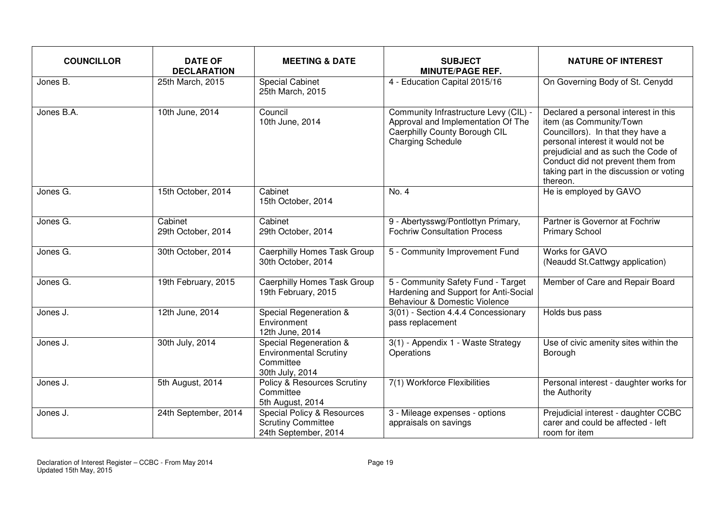| <b>COUNCILLOR</b> | <b>DATE OF</b><br><b>DECLARATION</b> | <b>MEETING &amp; DATE</b>                                                                  | <b>SUBJECT</b><br><b>MINUTE/PAGE REF.</b>                                                                                                | <b>NATURE OF INTEREST</b>                                                                                                                                                                                                                                                    |
|-------------------|--------------------------------------|--------------------------------------------------------------------------------------------|------------------------------------------------------------------------------------------------------------------------------------------|------------------------------------------------------------------------------------------------------------------------------------------------------------------------------------------------------------------------------------------------------------------------------|
| Jones B.          | 25th March, 2015                     | <b>Special Cabinet</b><br>25th March, 2015                                                 | 4 - Education Capital 2015/16                                                                                                            | On Governing Body of St. Cenydd                                                                                                                                                                                                                                              |
| Jones B.A.        | 10th June, 2014                      | Council<br>10th June, 2014                                                                 | Community Infrastructure Levy (CIL) -<br>Approval and Implementation Of The<br>Caerphilly County Borough CIL<br><b>Charging Schedule</b> | Declared a personal interest in this<br>item (as Community/Town<br>Councillors). In that they have a<br>personal interest it would not be<br>prejudicial and as such the Code of<br>Conduct did not prevent them from<br>taking part in the discussion or voting<br>thereon. |
| Jones G.          | 15th October, 2014                   | Cabinet<br>15th October, 2014                                                              | No. 4                                                                                                                                    | He is employed by GAVO                                                                                                                                                                                                                                                       |
| Jones G.          | Cabinet<br>29th October, 2014        | Cabinet<br>29th October, 2014                                                              | 9 - Abertysswg/Pontlottyn Primary,<br><b>Fochriw Consultation Process</b>                                                                | Partner is Governor at Fochriw<br><b>Primary School</b>                                                                                                                                                                                                                      |
| Jones G.          | 30th October, 2014                   | Caerphilly Homes Task Group<br>30th October, 2014                                          | 5 - Community Improvement Fund                                                                                                           | Works for GAVO<br>(Neaudd St.Cattwgy application)                                                                                                                                                                                                                            |
| Jones G.          | 19th February, 2015                  | Caerphilly Homes Task Group<br>19th February, 2015                                         | 5 - Community Safety Fund - Target<br>Hardening and Support for Anti-Social<br>Behaviour & Domestic Violence                             | Member of Care and Repair Board                                                                                                                                                                                                                                              |
| Jones J.          | 12th June, 2014                      | Special Regeneration &<br>Environment<br>12th June, 2014                                   | 3(01) - Section 4.4.4 Concessionary<br>pass replacement                                                                                  | Holds bus pass                                                                                                                                                                                                                                                               |
| Jones J.          | 30th July, 2014                      | Special Regeneration &<br><b>Environmental Scrutiny</b><br>Committee<br>30th July, 2014    | 3(1) - Appendix 1 - Waste Strategy<br>Operations                                                                                         | Use of civic amenity sites within the<br>Borough                                                                                                                                                                                                                             |
| Jones J.          | 5th August, 2014                     | Policy & Resources Scrutiny<br>Committee<br>5th August, 2014                               | 7(1) Workforce Flexibilities                                                                                                             | Personal interest - daughter works for<br>the Authority                                                                                                                                                                                                                      |
| Jones J.          | 24th September, 2014                 | <b>Special Policy &amp; Resources</b><br><b>Scrutiny Committee</b><br>24th September, 2014 | 3 - Mileage expenses - options<br>appraisals on savings                                                                                  | Prejudicial interest - daughter CCBC<br>carer and could be affected - left<br>room for item                                                                                                                                                                                  |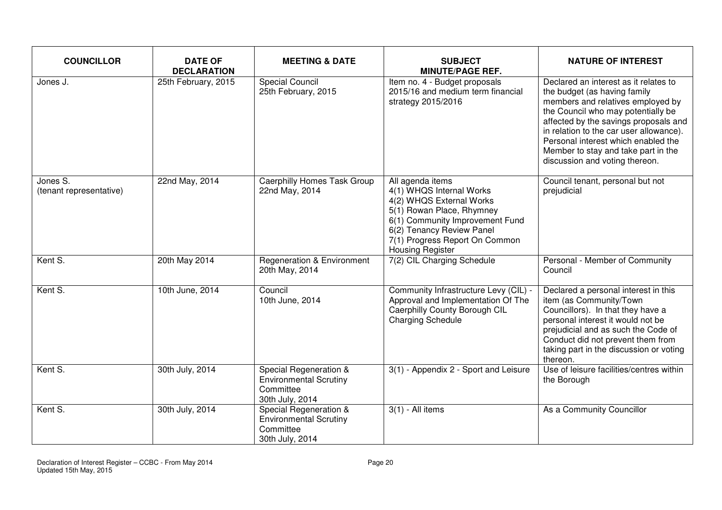| <b>COUNCILLOR</b>                   | <b>DATE OF</b><br><b>DECLARATION</b> | <b>MEETING &amp; DATE</b>                                                               | <b>SUBJECT</b><br><b>MINUTE/PAGE REF.</b>                                                                                                                                                                                          | <b>NATURE OF INTEREST</b>                                                                                                                                                                                                                                                                                                                            |
|-------------------------------------|--------------------------------------|-----------------------------------------------------------------------------------------|------------------------------------------------------------------------------------------------------------------------------------------------------------------------------------------------------------------------------------|------------------------------------------------------------------------------------------------------------------------------------------------------------------------------------------------------------------------------------------------------------------------------------------------------------------------------------------------------|
| Jones J.                            | 25th February, 2015                  | <b>Special Council</b><br>25th February, 2015                                           | Item no. 4 - Budget proposals<br>2015/16 and medium term financial<br>strategy 2015/2016                                                                                                                                           | Declared an interest as it relates to<br>the budget (as having family<br>members and relatives employed by<br>the Council who may potentially be<br>affected by the savings proposals and<br>in relation to the car user allowance).<br>Personal interest which enabled the<br>Member to stay and take part in the<br>discussion and voting thereon. |
| Jones S.<br>(tenant representative) | 22nd May, 2014                       | Caerphilly Homes Task Group<br>22nd May, 2014                                           | All agenda items<br>4(1) WHQS Internal Works<br>4(2) WHQS External Works<br>5(1) Rowan Place, Rhymney<br>6(1) Community Improvement Fund<br>6(2) Tenancy Review Panel<br>7(1) Progress Report On Common<br><b>Housing Register</b> | Council tenant, personal but not<br>prejudicial                                                                                                                                                                                                                                                                                                      |
| Kent S.                             | 20th May 2014                        | <b>Regeneration &amp; Environment</b><br>20th May, 2014                                 | 7(2) CIL Charging Schedule                                                                                                                                                                                                         | Personal - Member of Community<br>Council                                                                                                                                                                                                                                                                                                            |
| Kent S.                             | 10th June, 2014                      | Council<br>10th June, 2014                                                              | Community Infrastructure Levy (CIL) -<br>Approval and Implementation Of The<br>Caerphilly County Borough CIL<br><b>Charging Schedule</b>                                                                                           | Declared a personal interest in this<br>item (as Community/Town<br>Councillors). In that they have a<br>personal interest it would not be<br>prejudicial and as such the Code of<br>Conduct did not prevent them from<br>taking part in the discussion or voting<br>thereon.                                                                         |
| Kent S.                             | 30th July, 2014                      | Special Regeneration &<br><b>Environmental Scrutiny</b><br>Committee<br>30th July, 2014 | 3(1) - Appendix 2 - Sport and Leisure                                                                                                                                                                                              | Use of leisure facilities/centres within<br>the Borough                                                                                                                                                                                                                                                                                              |
| Kent S.                             | 30th July, 2014                      | Special Regeneration &<br>Environmental Scrutiny<br>Committee<br>30th July, 2014        | $3(1)$ - All items                                                                                                                                                                                                                 | As a Community Councillor                                                                                                                                                                                                                                                                                                                            |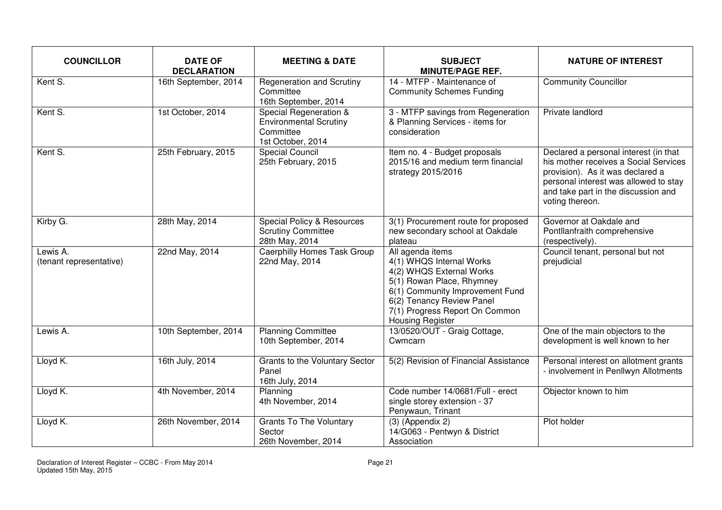| <b>COUNCILLOR</b>                   | <b>DATE OF</b><br><b>DECLARATION</b> | <b>MEETING &amp; DATE</b>                                                                 | <b>SUBJECT</b><br><b>MINUTE/PAGE REF.</b>                                                                                                                                                                                          | <b>NATURE OF INTEREST</b>                                                                                                                                                                                             |
|-------------------------------------|--------------------------------------|-------------------------------------------------------------------------------------------|------------------------------------------------------------------------------------------------------------------------------------------------------------------------------------------------------------------------------------|-----------------------------------------------------------------------------------------------------------------------------------------------------------------------------------------------------------------------|
| Kent S.                             | 16th September, 2014                 | Regeneration and Scrutiny<br>Committee<br>16th September, 2014                            | 14 - MTFP - Maintenance of<br><b>Community Schemes Funding</b>                                                                                                                                                                     | <b>Community Councillor</b>                                                                                                                                                                                           |
| Kent S.                             | 1st October, 2014                    | Special Regeneration &<br><b>Environmental Scrutiny</b><br>Committee<br>1st October, 2014 | 3 - MTFP savings from Regeneration<br>& Planning Services - items for<br>consideration                                                                                                                                             | Private landlord                                                                                                                                                                                                      |
| Kent S.                             | 25th February, 2015                  | <b>Special Council</b><br>25th February, 2015                                             | Item no. 4 - Budget proposals<br>2015/16 and medium term financial<br>strategy 2015/2016                                                                                                                                           | Declared a personal interest (in that<br>his mother receives a Social Services<br>provision). As it was declared a<br>personal interest was allowed to stay<br>and take part in the discussion and<br>voting thereon. |
| Kirby G.                            | 28th May, 2014                       | Special Policy & Resources<br><b>Scrutiny Committee</b><br>28th May, 2014                 | 3(1) Procurement route for proposed<br>new secondary school at Oakdale<br>plateau                                                                                                                                                  | Governor at Oakdale and<br>Pontllanfraith comprehensive<br>(respectively).                                                                                                                                            |
| Lewis A.<br>(tenant representative) | 22nd May, 2014                       | <b>Caerphilly Homes Task Group</b><br>22nd May, 2014                                      | All agenda items<br>4(1) WHQS Internal Works<br>4(2) WHQS External Works<br>5(1) Rowan Place, Rhymney<br>6(1) Community Improvement Fund<br>6(2) Tenancy Review Panel<br>7(1) Progress Report On Common<br><b>Housing Register</b> | Council tenant, personal but not<br>prejudicial                                                                                                                                                                       |
| Lewis A.                            | 10th September, 2014                 | <b>Planning Committee</b><br>10th September, 2014                                         | 13/0520/OUT - Graig Cottage,<br>Cwmcarn                                                                                                                                                                                            | One of the main objectors to the<br>development is well known to her                                                                                                                                                  |
| Lloyd K.                            | 16th July, 2014                      | Grants to the Voluntary Sector<br>Panel<br>16th July, 2014                                | 5(2) Revision of Financial Assistance                                                                                                                                                                                              | Personal interest on allotment grants<br>- involvement in Penllwyn Allotments                                                                                                                                         |
| Lloyd K.                            | 4th November, 2014                   | Planning<br>4th November, 2014                                                            | Code number 14/0681/Full - erect<br>single storey extension - 37<br>Penywaun, Trinant                                                                                                                                              | Objector known to him                                                                                                                                                                                                 |
| Lloyd K.                            | 26th November, 2014                  | <b>Grants To The Voluntary</b><br>Sector<br>26th November, 2014                           | $(3)$ (Appendix 2)<br>14/G063 - Pentwyn & District<br>Association                                                                                                                                                                  | Plot holder                                                                                                                                                                                                           |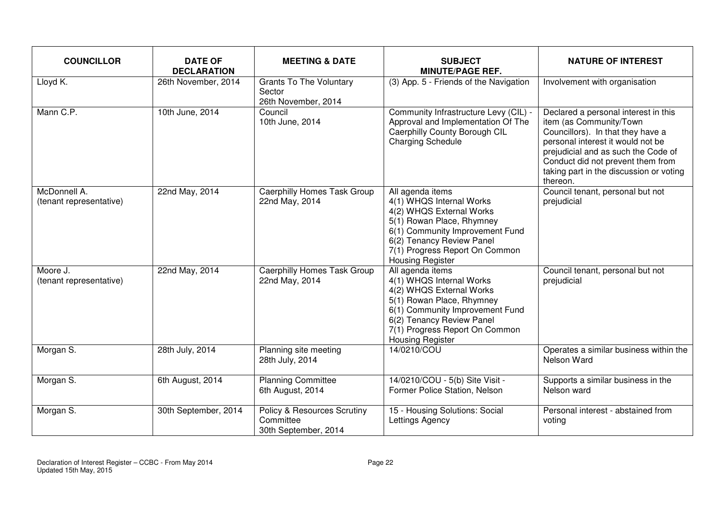| <b>COUNCILLOR</b>                       | <b>DATE OF</b><br><b>DECLARATION</b> | <b>MEETING &amp; DATE</b>                                        | <b>SUBJECT</b><br><b>MINUTE/PAGE REF.</b>                                                                                                                                                                                   | <b>NATURE OF INTEREST</b>                                                                                                                                                                                                                                                    |
|-----------------------------------------|--------------------------------------|------------------------------------------------------------------|-----------------------------------------------------------------------------------------------------------------------------------------------------------------------------------------------------------------------------|------------------------------------------------------------------------------------------------------------------------------------------------------------------------------------------------------------------------------------------------------------------------------|
| Lloyd K.                                | 26th November, 2014                  | <b>Grants To The Voluntary</b><br>Sector<br>26th November, 2014  | (3) App. 5 - Friends of the Navigation                                                                                                                                                                                      | Involvement with organisation                                                                                                                                                                                                                                                |
| Mann C.P.                               | 10th June, 2014                      | Council<br>10th June, 2014                                       | Community Infrastructure Levy (CIL) -<br>Approval and Implementation Of The<br>Caerphilly County Borough CIL<br><b>Charging Schedule</b>                                                                                    | Declared a personal interest in this<br>item (as Community/Town<br>Councillors). In that they have a<br>personal interest it would not be<br>prejudicial and as such the Code of<br>Conduct did not prevent them from<br>taking part in the discussion or voting<br>thereon. |
| McDonnell A.<br>(tenant representative) | 22nd May, 2014                       | <b>Caerphilly Homes Task Group</b><br>22nd May, 2014             | All agenda items<br>4(1) WHQS Internal Works<br>4(2) WHQS External Works<br>5(1) Rowan Place, Rhymney<br>6(1) Community Improvement Fund<br>6(2) Tenancy Review Panel<br>7(1) Progress Report On Common<br>Housing Register | Council tenant, personal but not<br>prejudicial                                                                                                                                                                                                                              |
| Moore J.<br>(tenant representative)     | 22nd May, 2014                       | <b>Caerphilly Homes Task Group</b><br>22nd May, 2014             | All agenda items<br>4(1) WHQS Internal Works<br>4(2) WHQS External Works<br>5(1) Rowan Place, Rhymney<br>6(1) Community Improvement Fund<br>6(2) Tenancy Review Panel<br>7(1) Progress Report On Common<br>Housing Register | Council tenant, personal but not<br>prejudicial                                                                                                                                                                                                                              |
| Morgan S.                               | 28th July, 2014                      | Planning site meeting<br>28th July, 2014                         | 14/0210/COU                                                                                                                                                                                                                 | Operates a similar business within the<br>Nelson Ward                                                                                                                                                                                                                        |
| Morgan S.                               | 6th August, 2014                     | <b>Planning Committee</b><br>6th August, 2014                    | 14/0210/COU - 5(b) Site Visit -<br>Former Police Station, Nelson                                                                                                                                                            | Supports a similar business in the<br>Nelson ward                                                                                                                                                                                                                            |
| Morgan S.                               | 30th September, 2014                 | Policy & Resources Scrutiny<br>Committee<br>30th September, 2014 | 15 - Housing Solutions: Social<br>Lettings Agency                                                                                                                                                                           | Personal interest - abstained from<br>voting                                                                                                                                                                                                                                 |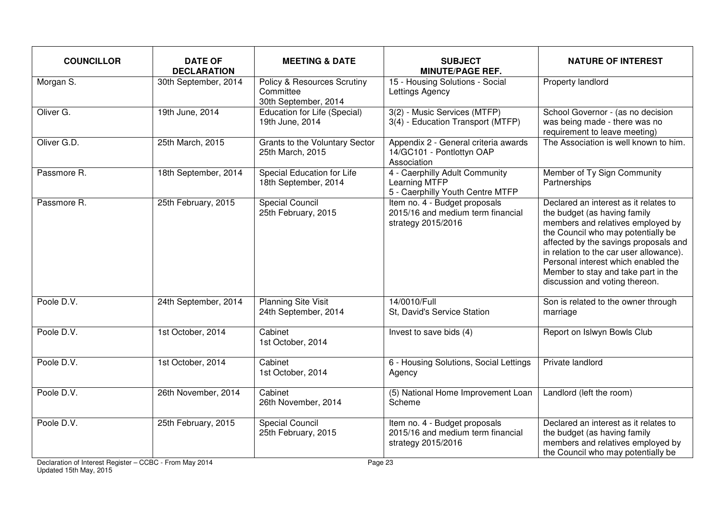| <b>COUNCILLOR</b> | <b>DATE OF</b><br><b>DECLARATION</b> | <b>MEETING &amp; DATE</b>                                        | <b>SUBJECT</b><br><b>MINUTE/PAGE REF.</b>                                                | <b>NATURE OF INTEREST</b>                                                                                                                                                                                                                                                                                                                            |
|-------------------|--------------------------------------|------------------------------------------------------------------|------------------------------------------------------------------------------------------|------------------------------------------------------------------------------------------------------------------------------------------------------------------------------------------------------------------------------------------------------------------------------------------------------------------------------------------------------|
| Morgan S.         | 30th September, 2014                 | Policy & Resources Scrutiny<br>Committee<br>30th September, 2014 | 15 - Housing Solutions - Social<br>Lettings Agency                                       | Property landlord                                                                                                                                                                                                                                                                                                                                    |
| Oliver G.         | 19th June, 2014                      | <b>Education for Life (Special)</b><br>19th June, 2014           | 3(2) - Music Services (MTFP)<br>3(4) - Education Transport (MTFP)                        | School Governor - (as no decision<br>was being made - there was no<br>requirement to leave meeting)                                                                                                                                                                                                                                                  |
| Oliver G.D.       | 25th March, 2015                     | Grants to the Voluntary Sector<br>25th March, 2015               | Appendix 2 - General criteria awards<br>14/GC101 - Pontlottyn OAP<br>Association         | The Association is well known to him.                                                                                                                                                                                                                                                                                                                |
| Passmore R.       | 18th September, 2014                 | Special Education for Life<br>18th September, 2014               | 4 - Caerphilly Adult Community<br>Learning MTFP<br>5 - Caerphilly Youth Centre MTFP      | Member of Ty Sign Community<br>Partnerships                                                                                                                                                                                                                                                                                                          |
| Passmore R.       | 25th February, 2015                  | <b>Special Council</b><br>25th February, 2015                    | Item no. 4 - Budget proposals<br>2015/16 and medium term financial<br>strategy 2015/2016 | Declared an interest as it relates to<br>the budget (as having family<br>members and relatives employed by<br>the Council who may potentially be<br>affected by the savings proposals and<br>in relation to the car user allowance).<br>Personal interest which enabled the<br>Member to stay and take part in the<br>discussion and voting thereon. |
| Poole D.V.        | 24th September, 2014                 | <b>Planning Site Visit</b><br>24th September, 2014               | 14/0010/Full<br>St, David's Service Station                                              | Son is related to the owner through<br>marriage                                                                                                                                                                                                                                                                                                      |
| Poole D.V.        | 1st October, 2014                    | Cabinet<br>1st October, 2014                                     | Invest to save bids (4)                                                                  | Report on Islwyn Bowls Club                                                                                                                                                                                                                                                                                                                          |
| Poole D.V.        | 1st October, 2014                    | Cabinet<br>1st October, 2014                                     | 6 - Housing Solutions, Social Lettings<br>Agency                                         | Private landlord                                                                                                                                                                                                                                                                                                                                     |
| Poole D.V.        | 26th November, 2014                  | Cabinet<br>26th November, 2014                                   | (5) National Home Improvement Loan<br>Scheme                                             | Landlord (left the room)                                                                                                                                                                                                                                                                                                                             |
| Poole D.V.        | 25th February, 2015                  | <b>Special Council</b><br>25th February, 2015                    | Item no. 4 - Budget proposals<br>2015/16 and medium term financial<br>strategy 2015/2016 | Declared an interest as it relates to<br>the budget (as having family<br>members and relatives employed by<br>the Council who may potentially be                                                                                                                                                                                                     |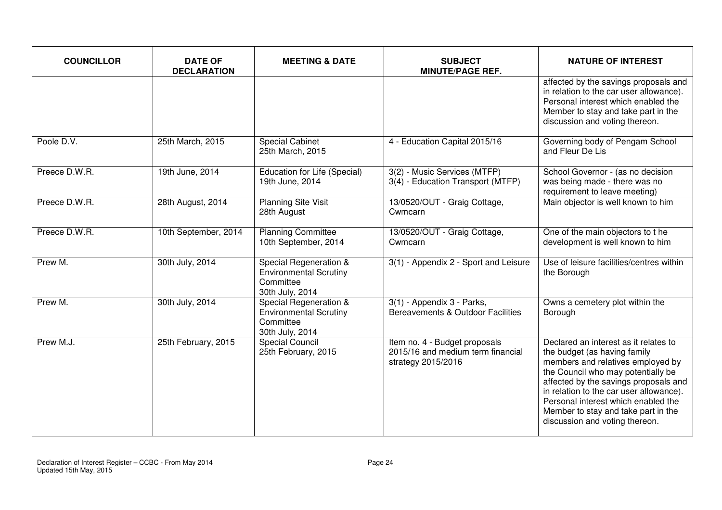| <b>COUNCILLOR</b> | <b>DATE OF</b><br><b>DECLARATION</b> | <b>MEETING &amp; DATE</b>                                                               | <b>SUBJECT</b><br><b>MINUTE/PAGE REF.</b>                                                | <b>NATURE OF INTEREST</b>                                                                                                                                                                                                                                                                                                                            |
|-------------------|--------------------------------------|-----------------------------------------------------------------------------------------|------------------------------------------------------------------------------------------|------------------------------------------------------------------------------------------------------------------------------------------------------------------------------------------------------------------------------------------------------------------------------------------------------------------------------------------------------|
|                   |                                      |                                                                                         |                                                                                          | affected by the savings proposals and<br>in relation to the car user allowance).<br>Personal interest which enabled the<br>Member to stay and take part in the<br>discussion and voting thereon.                                                                                                                                                     |
| Poole D.V.        | 25th March, 2015                     | <b>Special Cabinet</b><br>25th March, 2015                                              | 4 - Education Capital 2015/16                                                            | Governing body of Pengam School<br>and Fleur De Lis                                                                                                                                                                                                                                                                                                  |
| Preece D.W.R.     | 19th June, 2014                      | Education for Life (Special)<br>19th June, 2014                                         | 3(2) - Music Services (MTFP)<br>3(4) - Education Transport (MTFP)                        | School Governor - (as no decision<br>was being made - there was no<br>requirement to leave meeting)                                                                                                                                                                                                                                                  |
| Preece D.W.R.     | 28th August, 2014                    | <b>Planning Site Visit</b><br>28th August                                               | 13/0520/OUT - Graig Cottage,<br>Cwmcarn                                                  | Main objector is well known to him                                                                                                                                                                                                                                                                                                                   |
| Preece D.W.R.     | 10th September, 2014                 | <b>Planning Committee</b><br>10th September, 2014                                       | 13/0520/OUT - Graig Cottage,<br>Cwmcarn                                                  | One of the main objectors to the<br>development is well known to him                                                                                                                                                                                                                                                                                 |
| Prew M.           | 30th July, 2014                      | Special Regeneration &<br><b>Environmental Scrutiny</b><br>Committee<br>30th July, 2014 | 3(1) - Appendix 2 - Sport and Leisure                                                    | Use of leisure facilities/centres within<br>the Borough                                                                                                                                                                                                                                                                                              |
| Prew M.           | 30th July, 2014                      | Special Regeneration &<br><b>Environmental Scrutiny</b><br>Committee<br>30th July, 2014 | 3(1) - Appendix 3 - Parks,<br>Bereavements & Outdoor Facilities                          | Owns a cemetery plot within the<br>Borough                                                                                                                                                                                                                                                                                                           |
| Prew M.J.         | 25th February, 2015                  | <b>Special Council</b><br>25th February, 2015                                           | Item no. 4 - Budget proposals<br>2015/16 and medium term financial<br>strategy 2015/2016 | Declared an interest as it relates to<br>the budget (as having family<br>members and relatives employed by<br>the Council who may potentially be<br>affected by the savings proposals and<br>in relation to the car user allowance).<br>Personal interest which enabled the<br>Member to stay and take part in the<br>discussion and voting thereon. |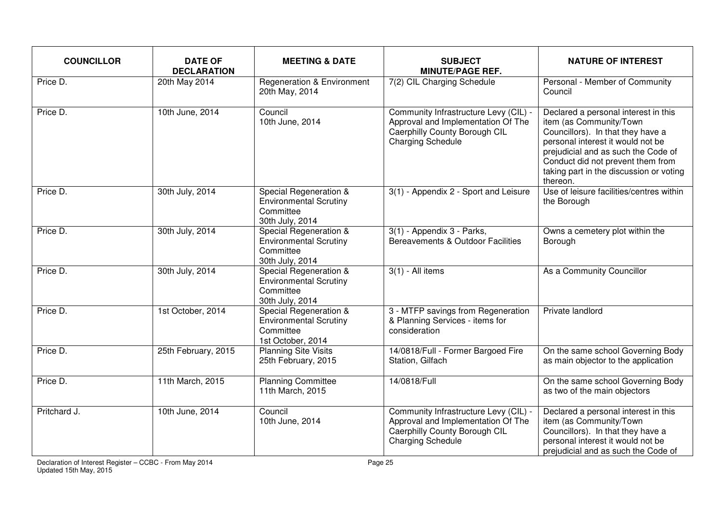| <b>COUNCILLOR</b> | <b>DATE OF</b><br><b>DECLARATION</b> | <b>MEETING &amp; DATE</b>                                                                 | <b>SUBJECT</b><br><b>MINUTE/PAGE REF.</b>                                                                                                | <b>NATURE OF INTEREST</b>                                                                                                                                                                                                                                                    |
|-------------------|--------------------------------------|-------------------------------------------------------------------------------------------|------------------------------------------------------------------------------------------------------------------------------------------|------------------------------------------------------------------------------------------------------------------------------------------------------------------------------------------------------------------------------------------------------------------------------|
| Price D.          | 20th May 2014                        | <b>Regeneration &amp; Environment</b><br>20th May, 2014                                   | 7(2) CIL Charging Schedule                                                                                                               | Personal - Member of Community<br>Council                                                                                                                                                                                                                                    |
| Price D.          | 10th June, 2014                      | Council<br>10th June, 2014                                                                | Community Infrastructure Levy (CIL) -<br>Approval and Implementation Of The<br>Caerphilly County Borough CIL<br><b>Charging Schedule</b> | Declared a personal interest in this<br>item (as Community/Town<br>Councillors). In that they have a<br>personal interest it would not be<br>prejudicial and as such the Code of<br>Conduct did not prevent them from<br>taking part in the discussion or voting<br>thereon. |
| Price D.          | 30th July, 2014                      | Special Regeneration &<br><b>Environmental Scrutiny</b><br>Committee<br>30th July, 2014   | 3(1) - Appendix 2 - Sport and Leisure                                                                                                    | Use of leisure facilities/centres within<br>the Borough                                                                                                                                                                                                                      |
| Price D.          | 30th July, 2014                      | Special Regeneration &<br><b>Environmental Scrutiny</b><br>Committee<br>30th July, 2014   | 3(1) - Appendix 3 - Parks,<br>Bereavements & Outdoor Facilities                                                                          | Owns a cemetery plot within the<br>Borough                                                                                                                                                                                                                                   |
| Price D.          | 30th July, 2014                      | Special Regeneration &<br><b>Environmental Scrutiny</b><br>Committee<br>30th July, 2014   | $3(1)$ - All items                                                                                                                       | As a Community Councillor                                                                                                                                                                                                                                                    |
| Price D.          | 1st October, 2014                    | Special Regeneration &<br><b>Environmental Scrutiny</b><br>Committee<br>1st October, 2014 | 3 - MTFP savings from Regeneration<br>& Planning Services - items for<br>consideration                                                   | Private landlord                                                                                                                                                                                                                                                             |
| Price D.          | 25th February, 2015                  | <b>Planning Site Visits</b><br>25th February, 2015                                        | 14/0818/Full - Former Bargoed Fire<br>Station, Gilfach                                                                                   | On the same school Governing Body<br>as main objector to the application                                                                                                                                                                                                     |
| Price D.          | 11th March, 2015                     | <b>Planning Committee</b><br>11th March, 2015                                             | 14/0818/Full                                                                                                                             | On the same school Governing Body<br>as two of the main objectors                                                                                                                                                                                                            |
| Pritchard J.      | 10th June, 2014                      | Council<br>10th June, 2014                                                                | Community Infrastructure Levy (CIL) -<br>Approval and Implementation Of The<br>Caerphilly County Borough CIL<br><b>Charging Schedule</b> | Declared a personal interest in this<br>item (as Community/Town<br>Councillors). In that they have a<br>personal interest it would not be<br>prejudicial and as such the Code of                                                                                             |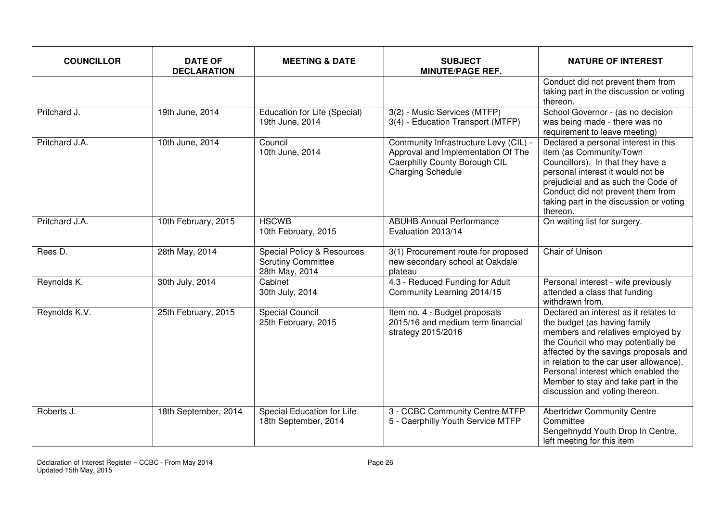| <b>COUNCILLOR</b> | <b>DATE OF</b><br><b>DECLARATION</b> | <b>MEETING &amp; DATE</b>                                                 | <b>SUBJECT</b><br><b>MINUTE/PAGE REF.</b>                                                                                                | <b>NATURE OF INTEREST</b>                                                                                                                                                                                                                                                                                                                            |
|-------------------|--------------------------------------|---------------------------------------------------------------------------|------------------------------------------------------------------------------------------------------------------------------------------|------------------------------------------------------------------------------------------------------------------------------------------------------------------------------------------------------------------------------------------------------------------------------------------------------------------------------------------------------|
|                   |                                      |                                                                           |                                                                                                                                          | Conduct did not prevent them from<br>taking part in the discussion or voting<br>thereon.                                                                                                                                                                                                                                                             |
| Pritchard J.      | 19th June, 2014                      | Education for Life (Special)<br>19th June, 2014                           | 3(2) - Music Services (MTFP)<br>3(4) - Education Transport (MTFP)                                                                        | School Governor - (as no decision<br>was being made - there was no<br>requirement to leave meeting)                                                                                                                                                                                                                                                  |
| Pritchard J.A.    | 10th June, 2014                      | Council<br>10th June, 2014                                                | Community Infrastructure Levy (CIL) -<br>Approval and Implementation Of The<br>Caerphilly County Borough CIL<br><b>Charging Schedule</b> | Declared a personal interest in this<br>item (as Community/Town<br>Councillors). In that they have a<br>personal interest it would not be<br>prejudicial and as such the Code of<br>Conduct did not prevent them from<br>taking part in the discussion or voting<br>thereon.                                                                         |
| Pritchard J.A.    | 10th February, 2015                  | <b>HSCWB</b><br>10th February, 2015                                       | <b>ABUHB Annual Performance</b><br>Evaluation 2013/14                                                                                    | On waiting list for surgery.                                                                                                                                                                                                                                                                                                                         |
| Rees D.           | 28th May, 2014                       | Special Policy & Resources<br><b>Scrutiny Committee</b><br>28th May, 2014 | 3(1) Procurement route for proposed<br>new secondary school at Oakdale<br>plateau                                                        | Chair of Unison                                                                                                                                                                                                                                                                                                                                      |
| Reynolds K.       | 30th July, 2014                      | Cabinet<br>30th July, 2014                                                | 4.3 - Reduced Funding for Adult<br>Community Learning 2014/15                                                                            | Personal interest - wife previously<br>attended a class that funding<br>withdrawn from.                                                                                                                                                                                                                                                              |
| Reynolds K.V.     | 25th February, 2015                  | <b>Special Council</b><br>25th February, 2015                             | Item no. 4 - Budget proposals<br>2015/16 and medium term financial<br>strategy 2015/2016                                                 | Declared an interest as it relates to<br>the budget (as having family<br>members and relatives employed by<br>the Council who may potentially be<br>affected by the savings proposals and<br>in relation to the car user allowance).<br>Personal interest which enabled the<br>Member to stay and take part in the<br>discussion and voting thereon. |
| Roberts J.        | 18th September, 2014                 | Special Education for Life<br>18th September, 2014                        | 3 - CCBC Community Centre MTFP<br>5 - Caerphilly Youth Service MTFP                                                                      | <b>Abertridwr Community Centre</b><br>Committee<br>Sengehnydd Youth Drop In Centre,<br>left meeting for this item                                                                                                                                                                                                                                    |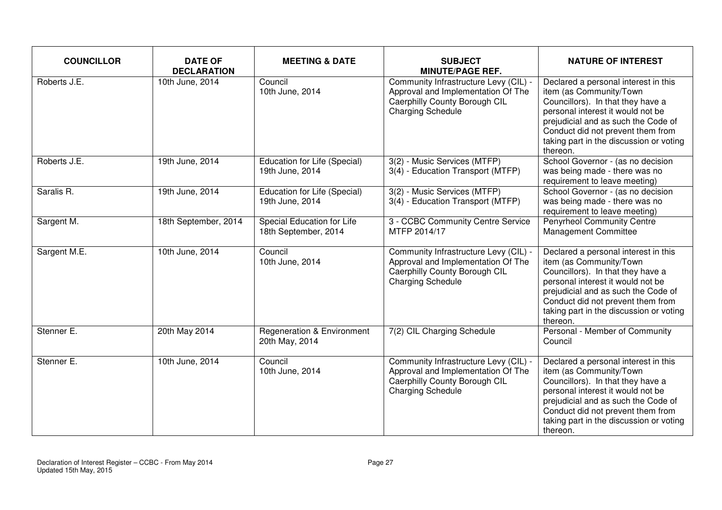| <b>COUNCILLOR</b> | <b>DATE OF</b><br><b>DECLARATION</b> | <b>MEETING &amp; DATE</b>                                 | <b>SUBJECT</b><br><b>MINUTE/PAGE REF.</b>                                                                                                | <b>NATURE OF INTEREST</b>                                                                                                                                                                                                                                                    |
|-------------------|--------------------------------------|-----------------------------------------------------------|------------------------------------------------------------------------------------------------------------------------------------------|------------------------------------------------------------------------------------------------------------------------------------------------------------------------------------------------------------------------------------------------------------------------------|
| Roberts J.E.      | 10th June, 2014                      | Council<br>10th June, 2014                                | Community Infrastructure Levy (CIL) -<br>Approval and Implementation Of The<br>Caerphilly County Borough CIL<br><b>Charging Schedule</b> | Declared a personal interest in this<br>item (as Community/Town<br>Councillors). In that they have a<br>personal interest it would not be<br>prejudicial and as such the Code of<br>Conduct did not prevent them from<br>taking part in the discussion or voting<br>thereon. |
| Roberts J.E.      | 19th June, 2014                      | Education for Life (Special)<br>19th June, 2014           | 3(2) - Music Services (MTFP)<br>3(4) - Education Transport (MTFP)                                                                        | School Governor - (as no decision<br>was being made - there was no<br>requirement to leave meeting)                                                                                                                                                                          |
| Saralis R.        | 19th June, 2014                      | Education for Life (Special)<br>19th June, 2014           | 3(2) - Music Services (MTFP)<br>3(4) - Education Transport (MTFP)                                                                        | School Governor - (as no decision<br>was being made - there was no<br>requirement to leave meeting)                                                                                                                                                                          |
| Sargent M.        | 18th September, 2014                 | <b>Special Education for Life</b><br>18th September, 2014 | 3 - CCBC Community Centre Service<br>MTFP 2014/17                                                                                        | <b>Penyrheol Community Centre</b><br>Management Committee                                                                                                                                                                                                                    |
| Sargent M.E.      | 10th June, 2014                      | Council<br>10th June, 2014                                | Community Infrastructure Levy (CIL) -<br>Approval and Implementation Of The<br>Caerphilly County Borough CIL<br><b>Charging Schedule</b> | Declared a personal interest in this<br>item (as Community/Town<br>Councillors). In that they have a<br>personal interest it would not be<br>prejudicial and as such the Code of<br>Conduct did not prevent them from<br>taking part in the discussion or voting<br>thereon. |
| Stenner E.        | 20th May 2014                        | <b>Regeneration &amp; Environment</b><br>20th May, 2014   | 7(2) CIL Charging Schedule                                                                                                               | Personal - Member of Community<br>Council                                                                                                                                                                                                                                    |
| Stenner E.        | 10th June, 2014                      | Council<br>10th June, 2014                                | Community Infrastructure Levy (CIL) -<br>Approval and Implementation Of The<br>Caerphilly County Borough CIL<br><b>Charging Schedule</b> | Declared a personal interest in this<br>item (as Community/Town<br>Councillors). In that they have a<br>personal interest it would not be<br>prejudicial and as such the Code of<br>Conduct did not prevent them from<br>taking part in the discussion or voting<br>thereon. |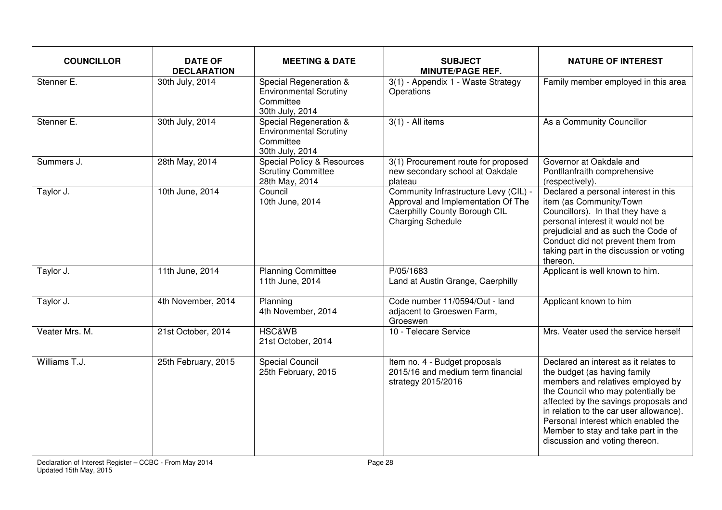| <b>COUNCILLOR</b> | <b>DATE OF</b><br><b>DECLARATION</b> | <b>MEETING &amp; DATE</b>                                                               | <b>SUBJECT</b><br><b>MINUTE/PAGE REF.</b>                                                                                                | <b>NATURE OF INTEREST</b>                                                                                                                                                                                                                                                                                                                            |
|-------------------|--------------------------------------|-----------------------------------------------------------------------------------------|------------------------------------------------------------------------------------------------------------------------------------------|------------------------------------------------------------------------------------------------------------------------------------------------------------------------------------------------------------------------------------------------------------------------------------------------------------------------------------------------------|
| Stenner E.        | 30th July, 2014                      | Special Regeneration &<br><b>Environmental Scrutiny</b><br>Committee<br>30th July, 2014 | $3(1)$ - Appendix 1 - Waste Strategy<br>Operations                                                                                       | Family member employed in this area                                                                                                                                                                                                                                                                                                                  |
| Stenner E.        | 30th July, 2014                      | Special Regeneration &<br><b>Environmental Scrutiny</b><br>Committee<br>30th July, 2014 | $3(1)$ - All items                                                                                                                       | As a Community Councillor                                                                                                                                                                                                                                                                                                                            |
| Summers J.        | 28th May, 2014                       | Special Policy & Resources<br><b>Scrutiny Committee</b><br>28th May, 2014               | 3(1) Procurement route for proposed<br>new secondary school at Oakdale<br>plateau                                                        | Governor at Oakdale and<br>Pontllanfraith comprehensive<br>(respectively).                                                                                                                                                                                                                                                                           |
| Taylor J.         | 10th June, 2014                      | Council<br>10th June, 2014                                                              | Community Infrastructure Levy (CIL) -<br>Approval and Implementation Of The<br>Caerphilly County Borough CIL<br><b>Charging Schedule</b> | Declared a personal interest in this<br>item (as Community/Town<br>Councillors). In that they have a<br>personal interest it would not be<br>prejudicial and as such the Code of<br>Conduct did not prevent them from<br>taking part in the discussion or voting<br>thereon.                                                                         |
| Taylor J.         | 11th June, 2014                      | <b>Planning Committee</b><br>11th June, 2014                                            | P/05/1683<br>Land at Austin Grange, Caerphilly                                                                                           | Applicant is well known to him.                                                                                                                                                                                                                                                                                                                      |
| Taylor J.         | 4th November, 2014                   | Planning<br>4th November, 2014                                                          | Code number 11/0594/Out - land<br>adjacent to Groeswen Farm,<br>Groeswen                                                                 | Applicant known to him                                                                                                                                                                                                                                                                                                                               |
| Veater Mrs. M.    | 21st October, 2014                   | <b>HSC&amp;WB</b><br>21st October, 2014                                                 | 10 - Telecare Service                                                                                                                    | Mrs. Veater used the service herself                                                                                                                                                                                                                                                                                                                 |
| Williams T.J.     | 25th February, 2015                  | Special Council<br>25th February, 2015                                                  | Item no. 4 - Budget proposals<br>2015/16 and medium term financial<br>strategy 2015/2016                                                 | Declared an interest as it relates to<br>the budget (as having family<br>members and relatives employed by<br>the Council who may potentially be<br>affected by the savings proposals and<br>in relation to the car user allowance).<br>Personal interest which enabled the<br>Member to stay and take part in the<br>discussion and voting thereon. |